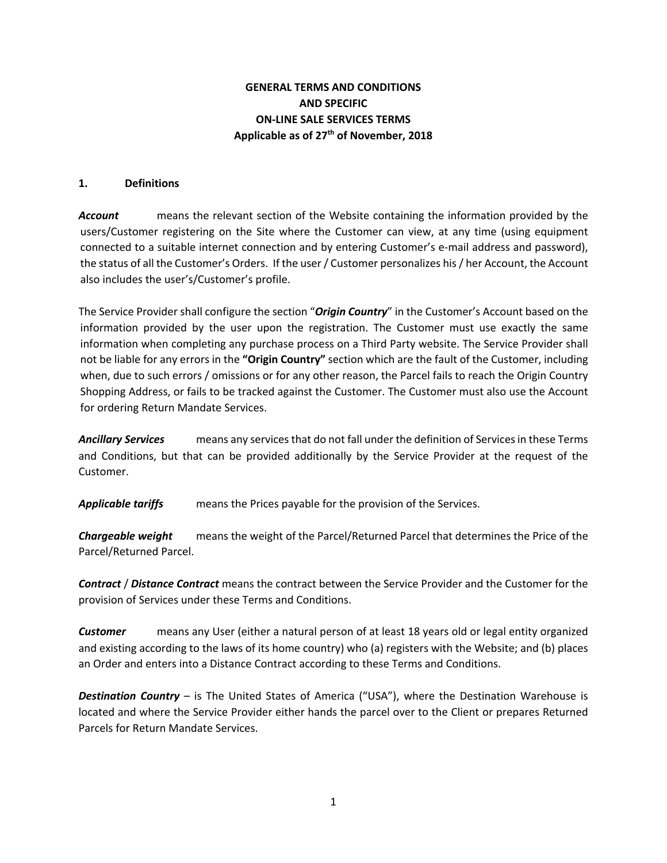# **GENERAL TERMS AND CONDITIONS AND SPECIFIC ON-LINE SALE SERVICES TERMS Applicable as of 27th of November, 2018**

#### **1. Definitions**

*Account* means the relevant section of the Website containing the information provided by the users/Customer registering on the Site where the Customer can view, at any time (using equipment connected to a suitable internet connection and by entering Customer's e-mail address and password), the status of all the Customer's Orders. If the user / Customer personalizes his / her Account, the Account also includes the user's/Customer's profile.

The Service Provider shall configure the section "*Origin Country*" in the Customer's Account based on the information provided by the user upon the registration. The Customer must use exactly the same information when completing any purchase process on a Third Party website. The Service Provider shall not be liable for any errors in the **"Origin Country"** section which are the fault of the Customer, including when, due to such errors / omissions or for any other reason, the Parcel fails to reach the Origin Country Shopping Address, or fails to be tracked against the Customer. The Customer must also use the Account for ordering Return Mandate Services.

*Ancillary Services* means any services that do not fall under the definition of Services in these Terms and Conditions, but that can be provided additionally by the Service Provider at the request of the Customer.

*Applicable tariffs* means the Prices payable for the provision of the Services.

*Chargeable weight* means the weight of the Parcel/Returned Parcel that determines the Price of the Parcel/Returned Parcel.

*Contract* / *Distance Contract* means the contract between the Service Provider and the Customer for the provision of Services under these Terms and Conditions.

*Customer* means any User (either a natural person of at least 18 years old or legal entity organized and existing according to the laws of its home country) who (a) registers with the Website; and (b) places an Order and enters into a Distance Contract according to these Terms and Conditions.

*Destination Country* – is The United States of America ("USA"), where the Destination Warehouse is located and where the Service Provider either hands the parcel over to the Client or prepares Returned Parcels for Return Mandate Services.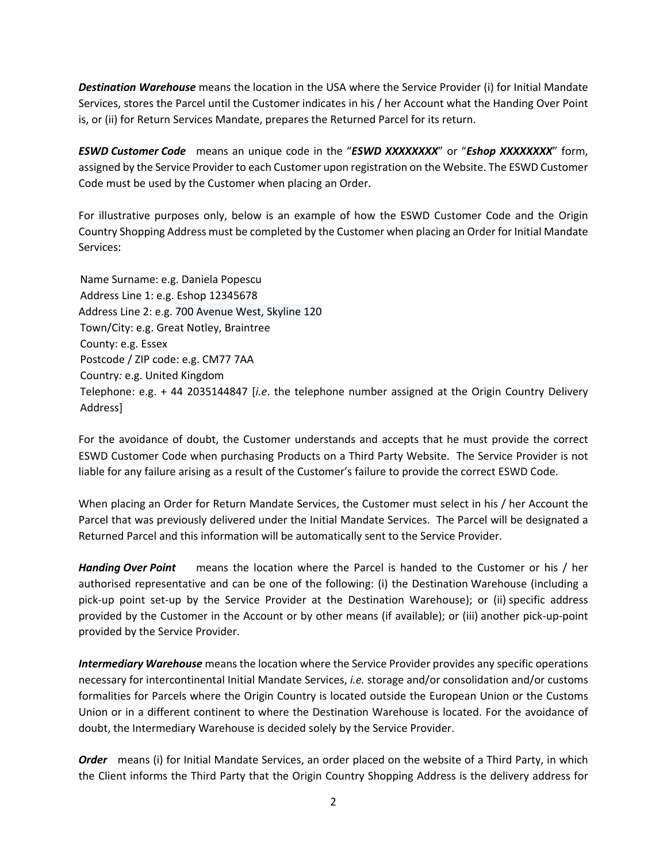*Destination Warehouse* means the location in the USA where the Service Provider (i) for Initial Mandate Services, stores the Parcel until the Customer indicates in his / her Account what the Handing Over Point is, or (ii) for Return Services Mandate, prepares the Returned Parcel for its return.

*ESWD Customer Code* means an unique code in the "*ESWD XXXXXXXX*" or "*Eshop XXXXXXXX*" form, assigned by the Service Provider to each Customer upon registration on the Website. The ESWD Customer Code must be used by the Customer when placing an Order.

For illustrative purposes only, below is an example of how the ESWD Customer Code and the Origin Country Shopping Address must be completed by the Customer when placing an Order for Initial Mandate Services:

Name Surname: e.g. Daniela Popescu Address Line 1: e.g. Eshop 12345678 Address Line 2: e.g. 700 Avenue West, Skyline 120 Town/City: e.g. Great Notley, Braintree County: e.g. Essex Postcode / ZIP code: e.g. CM77 7AA Country*:* e.g. United Kingdom Telephone: e.g. + 44 2035144847 [*i.e*. the telephone number assigned at the Origin Country Delivery Address]

For the avoidance of doubt, the Customer understands and accepts that he must provide the correct ESWD Customer Code when purchasing Products on a Third Party Website. The Service Provider is not liable for any failure arising as a result of the Customer's failure to provide the correct ESWD Code.

When placing an Order for Return Mandate Services, the Customer must select in his / her Account the Parcel that was previously delivered under the Initial Mandate Services. The Parcel will be designated a Returned Parcel and this information will be automatically sent to the Service Provider.

*Handing Over Point* means the location where the Parcel is handed to the Customer or his / her authorised representative and can be one of the following: (i) the Destination Warehouse (including a pick-up point set-up by the Service Provider at the Destination Warehouse); or (ii) specific address provided by the Customer in the Account or by other means (if available); or (iii) another pick-up-point provided by the Service Provider.

*Intermediary Warehouse* means the location where the Service Provider provides any specific operations necessary for intercontinental Initial Mandate Services, *i.e.* storage and/or consolidation and/or customs formalities for Parcels where the Origin Country is located outside the European Union or the Customs Union or in a different continent to where the Destination Warehouse is located. For the avoidance of doubt, the Intermediary Warehouse is decided solely by the Service Provider.

**Order** means (i) for Initial Mandate Services, an order placed on the website of a Third Party, in which the Client informs the Third Party that the Origin Country Shopping Address is the delivery address for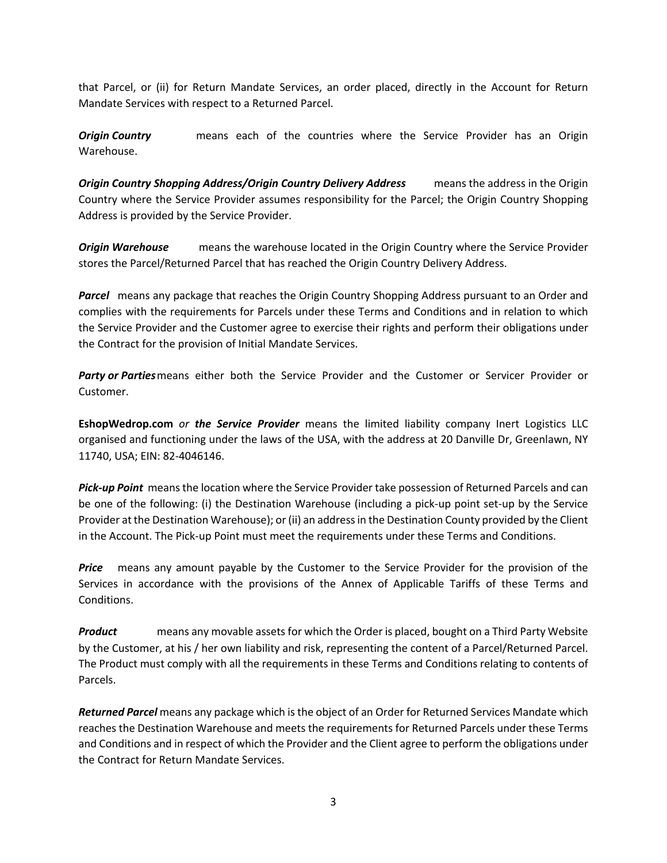that Parcel, or (ii) for Return Mandate Services, an order placed, directly in the Account for Return Mandate Services with respect to a Returned Parcel.

*Origin Country* **means each of the countries where the Service Provider has an Origin** Warehouse.

*Origin Country Shopping Address/Origin Country Delivery Address* means the address in the Origin Country where the Service Provider assumes responsibility for the Parcel; the Origin Country Shopping Address is provided by the Service Provider.

*Origin Warehouse* means the warehouse located in the Origin Country where the Service Provider stores the Parcel/Returned Parcel that has reached the Origin Country Delivery Address.

**Parcel** means any package that reaches the Origin Country Shopping Address pursuant to an Order and complies with the requirements for Parcels under these Terms and Conditions and in relation to which the Service Provider and the Customer agree to exercise their rights and perform their obligations under the Contract for the provision of Initial Mandate Services.

*Party or Parties*means either both the Service Provider and the Customer or Servicer Provider or Customer.

**EshopWedrop.com** *or the Service Provider* means the limited liability company Inert Logistics LLC organised and functioning under the laws of the USA, with the address at 20 Danville Dr, Greenlawn, NY 11740, USA; EIN: 82-4046146.

*Pick-up Point* means the location where the Service Provider take possession of Returned Parcels and can be one of the following: (i) the Destination Warehouse (including a pick-up point set-up by the Service Provider at the Destination Warehouse); or (ii) an addressin the Destination County provided by the Client in the Account. The Pick-up Point must meet the requirements under these Terms and Conditions.

*Price* means any amount payable by the Customer to the Service Provider for the provision of the Services in accordance with the provisions of the Annex of Applicable Tariffs of these Terms and Conditions.

*Product* means any movable assets for which the Order is placed, bought on a Third Party Website by the Customer, at his / her own liability and risk, representing the content of a Parcel/Returned Parcel. The Product must comply with all the requirements in these Terms and Conditions relating to contents of Parcels.

*Returned Parcel* means any package which is the object of an Order for Returned Services Mandate which reaches the Destination Warehouse and meets the requirements for Returned Parcels under these Terms and Conditions and in respect of which the Provider and the Client agree to perform the obligations under the Contract for Return Mandate Services.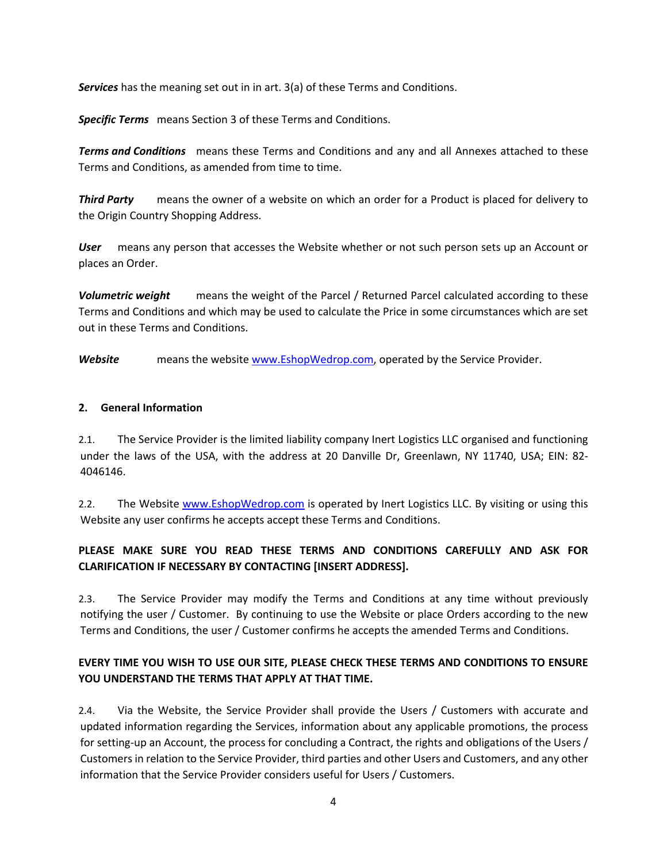*Services* has the meaning set out in in art. 3(a) of these Terms and Conditions.

*Specific Terms* means Section 3 of these Terms and Conditions.

*Terms and Conditions* means these Terms and Conditions and any and all Annexes attached to these Terms and Conditions, as amended from time to time.

*Third Party* means the owner of a website on which an order for a Product is placed for delivery to the Origin Country Shopping Address.

*User* means any person that accesses the Website whether or not such person sets up an Account or places an Order.

*Volumetric weight* means the weight of the Parcel / Returned Parcel calculated according to these Terms and Conditions and which may be used to calculate the Price in some circumstances which are set out in these Terms and Conditions.

**Website** means the website www.EshopWedrop.com, operated by the Service Provider.

#### **2. General Information**

2.1. The Service Provider is the limited liability company Inert Logistics LLC organised and functioning under the laws of the USA, with the address at 20 Danville Dr, Greenlawn, NY 11740, USA; EIN: 82- 4046146.

2.2. The Website www.EshopWedrop.com is operated by Inert Logistics LLC. By visiting or using this Website any user confirms he accepts accept these Terms and Conditions.

# **PLEASE MAKE SURE YOU READ THESE TERMS AND CONDITIONS CAREFULLY AND ASK FOR CLARIFICATION IF NECESSARY BY CONTACTING [INSERT ADDRESS].**

2.3. The Service Provider may modify the Terms and Conditions at any time without previously notifying the user / Customer. By continuing to use the Website or place Orders according to the new Terms and Conditions, the user / Customer confirms he accepts the amended Terms and Conditions.

# **EVERY TIME YOU WISH TO USE OUR SITE, PLEASE CHECK THESE TERMS AND CONDITIONS TO ENSURE YOU UNDERSTAND THE TERMS THAT APPLY AT THAT TIME.**

2.4. Via the Website, the Service Provider shall provide the Users / Customers with accurate and updated information regarding the Services, information about any applicable promotions, the process for setting-up an Account, the process for concluding a Contract, the rights and obligations of the Users / Customers in relation to the Service Provider, third parties and other Users and Customers, and any other information that the Service Provider considers useful for Users / Customers.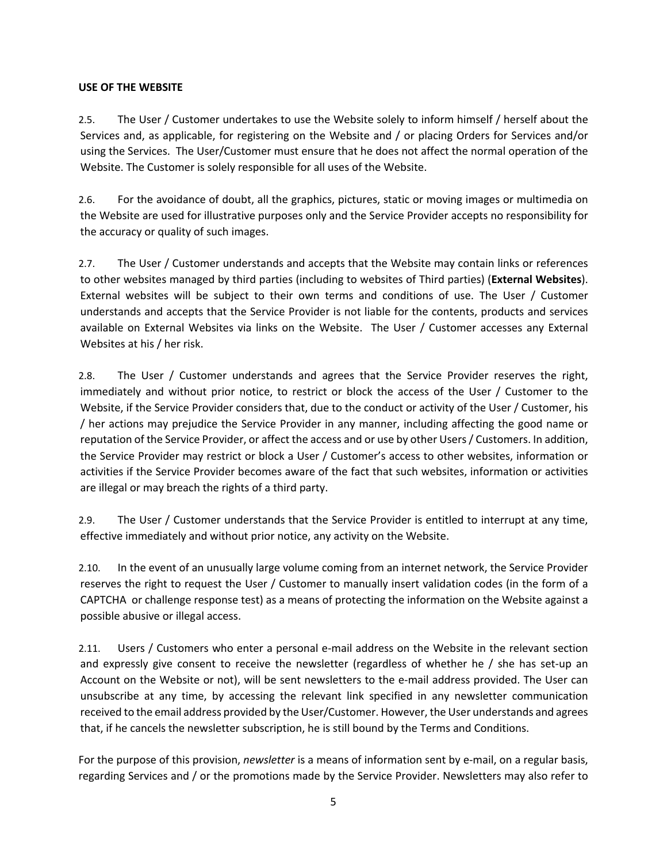### **USE OF THE WEBSITE**

2.5. The User / Customer undertakes to use the Website solely to inform himself / herself about the Services and, as applicable, for registering on the Website and / or placing Orders for Services and/or using the Services. The User/Customer must ensure that he does not affect the normal operation of the Website. The Customer is solely responsible for all uses of the Website.

2.6. For the avoidance of doubt, all the graphics, pictures, static or moving images or multimedia on the Website are used for illustrative purposes only and the Service Provider accepts no responsibility for the accuracy or quality of such images.

2.7. The User / Customer understands and accepts that the Website may contain links or references to other websites managed by third parties (including to websites of Third parties) (**External Websites**). External websites will be subject to their own terms and conditions of use. The User / Customer understands and accepts that the Service Provider is not liable for the contents, products and services available on External Websites via links on the Website. The User / Customer accesses any External Websites at his / her risk.

2.8. The User / Customer understands and agrees that the Service Provider reserves the right, immediately and without prior notice, to restrict or block the access of the User / Customer to the Website, if the Service Provider considers that, due to the conduct or activity of the User / Customer, his / her actions may prejudice the Service Provider in any manner, including affecting the good name or reputation of the Service Provider, or affect the access and or use by other Users / Customers. In addition, the Service Provider may restrict or block a User / Customer's access to other websites, information or activities if the Service Provider becomes aware of the fact that such websites, information or activities are illegal or may breach the rights of a third party.

2.9. The User / Customer understands that the Service Provider is entitled to interrupt at any time, effective immediately and without prior notice, any activity on the Website.

2.10. In the event of an unusually large volume coming from an internet network, the Service Provider reserves the right to request the User / Customer to manually insert validation codes (in the form of a CAPTCHA or challenge response test) as a means of protecting the information on the Website against a possible abusive or illegal access.

2.11. Users / Customers who enter a personal e-mail address on the Website in the relevant section and expressly give consent to receive the newsletter (regardless of whether he / she has set-up an Account on the Website or not), will be sent newsletters to the e-mail address provided. The User can unsubscribe at any time, by accessing the relevant link specified in any newsletter communication received to the email address provided by the User/Customer. However, the User understands and agrees that, if he cancels the newsletter subscription, he is still bound by the Terms and Conditions.

For the purpose of this provision, *newsletter* is a means of information sent by e-mail, on a regular basis, regarding Services and / or the promotions made by the Service Provider. Newsletters may also refer to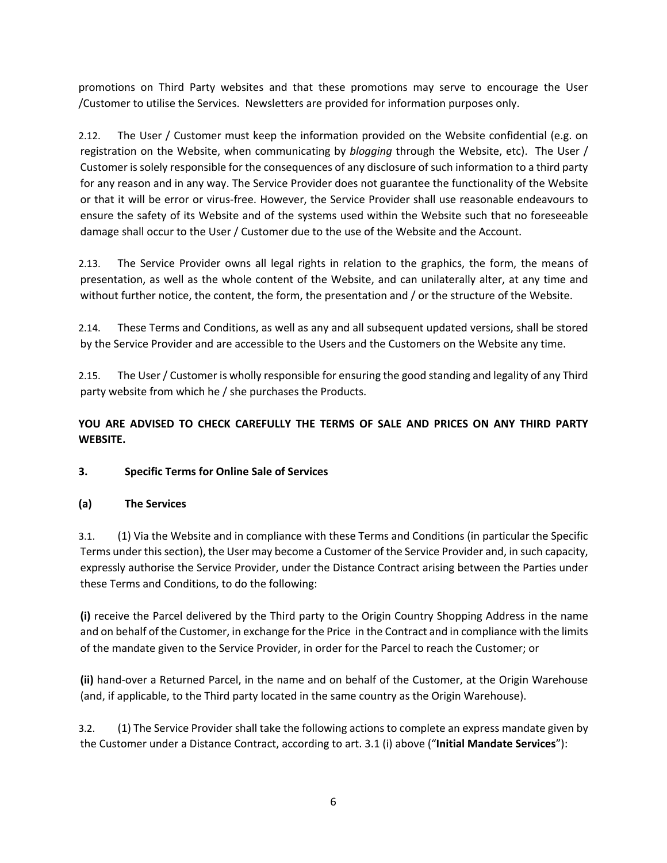promotions on Third Party websites and that these promotions may serve to encourage the User /Customer to utilise the Services. Newsletters are provided for information purposes only.

2.12. The User / Customer must keep the information provided on the Website confidential (e.g. on registration on the Website, when communicating by *blogging* through the Website, etc). The User / Customer is solely responsible for the consequences of any disclosure of such information to a third party for any reason and in any way. The Service Provider does not guarantee the functionality of the Website or that it will be error or virus-free. However, the Service Provider shall use reasonable endeavours to ensure the safety of its Website and of the systems used within the Website such that no foreseeable damage shall occur to the User / Customer due to the use of the Website and the Account.

2.13. The Service Provider owns all legal rights in relation to the graphics, the form, the means of presentation, as well as the whole content of the Website, and can unilaterally alter, at any time and without further notice, the content, the form, the presentation and / or the structure of the Website.

2.14. These Terms and Conditions, as well as any and all subsequent updated versions, shall be stored by the Service Provider and are accessible to the Users and the Customers on the Website any time.

2.15. The User / Customer is wholly responsible for ensuring the good standing and legality of any Third party website from which he / she purchases the Products.

# **YOU ARE ADVISED TO CHECK CAREFULLY THE TERMS OF SALE AND PRICES ON ANY THIRD PARTY WEBSITE.**

# **3. Specific Terms for Online Sale of Services**

# **(a) The Services**

3.1. (1) Via the Website and in compliance with these Terms and Conditions (in particular the Specific Terms under this section), the User may become a Customer of the Service Provider and, in such capacity, expressly authorise the Service Provider, under the Distance Contract arising between the Parties under these Terms and Conditions, to do the following:

**(i)** receive the Parcel delivered by the Third party to the Origin Country Shopping Address in the name and on behalf of the Customer, in exchange for the Price in the Contract and in compliance with the limits of the mandate given to the Service Provider, in order for the Parcel to reach the Customer; or

**(ii)** hand-over a Returned Parcel, in the name and on behalf of the Customer, at the Origin Warehouse (and, if applicable, to the Third party located in the same country as the Origin Warehouse).

3.2. (1) The Service Provider shall take the following actions to complete an express mandate given by the Customer under a Distance Contract, according to art. 3.1 (i) above ("**Initial Mandate Services**"):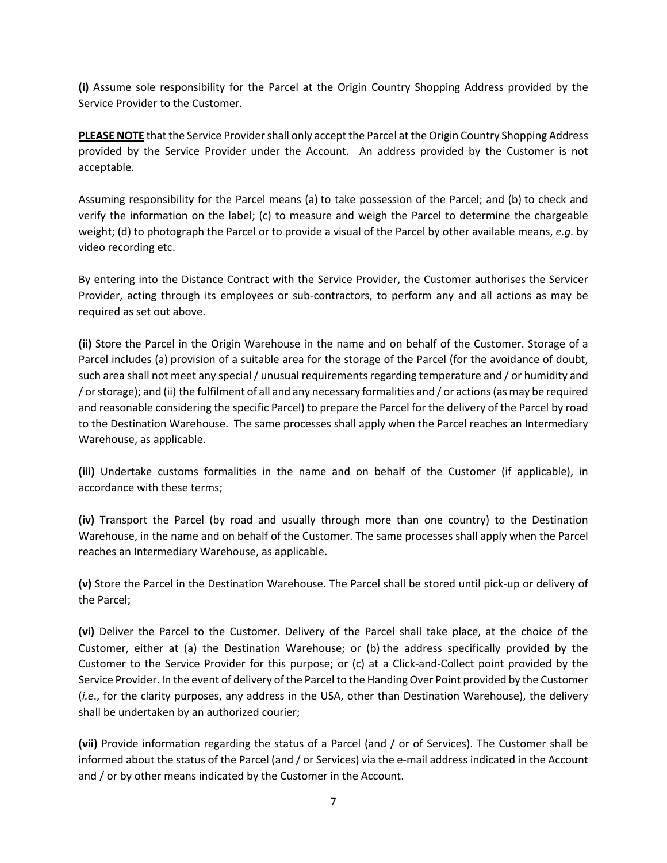**(i)** Assume sole responsibility for the Parcel at the Origin Country Shopping Address provided by the Service Provider to the Customer.

**PLEASE NOTE** that the Service Provider shall only accept the Parcel at the Origin Country Shopping Address provided by the Service Provider under the Account. An address provided by the Customer is not acceptable.

Assuming responsibility for the Parcel means (a) to take possession of the Parcel; and (b) to check and verify the information on the label; (c) to measure and weigh the Parcel to determine the chargeable weight; (d) to photograph the Parcel or to provide a visual of the Parcel by other available means, *e.g.* by video recording etc.

By entering into the Distance Contract with the Service Provider, the Customer authorises the Servicer Provider, acting through its employees or sub-contractors, to perform any and all actions as may be required as set out above.

**(ii)** Store the Parcel in the Origin Warehouse in the name and on behalf of the Customer. Storage of a Parcel includes (a) provision of a suitable area for the storage of the Parcel (for the avoidance of doubt, such area shall not meet any special / unusual requirements regarding temperature and / or humidity and / or storage); and (ii) the fulfilment of all and any necessary formalities and / or actions (as may be required and reasonable considering the specific Parcel) to prepare the Parcel for the delivery of the Parcel by road to the Destination Warehouse. The same processes shall apply when the Parcel reaches an Intermediary Warehouse, as applicable.

**(iii)** Undertake customs formalities in the name and on behalf of the Customer (if applicable), in accordance with these terms;

**(iv)** Transport the Parcel (by road and usually through more than one country) to the Destination Warehouse, in the name and on behalf of the Customer. The same processes shall apply when the Parcel reaches an Intermediary Warehouse, as applicable.

**(v)** Store the Parcel in the Destination Warehouse. The Parcel shall be stored until pick-up or delivery of the Parcel;

**(vi)** Deliver the Parcel to the Customer. Delivery of the Parcel shall take place, at the choice of the Customer, either at (a) the Destination Warehouse; or (b) the address specifically provided by the Customer to the Service Provider for this purpose; or (c) at a Click-and-Collect point provided by the Service Provider. In the event of delivery of the Parcel to the Handing Over Point provided by the Customer (*i.e*., for the clarity purposes, any address in the USA, other than Destination Warehouse), the delivery shall be undertaken by an authorized courier;

**(vii)** Provide information regarding the status of a Parcel (and / or of Services). The Customer shall be informed about the status of the Parcel (and / or Services) via the e-mail address indicated in the Account and / or by other means indicated by the Customer in the Account.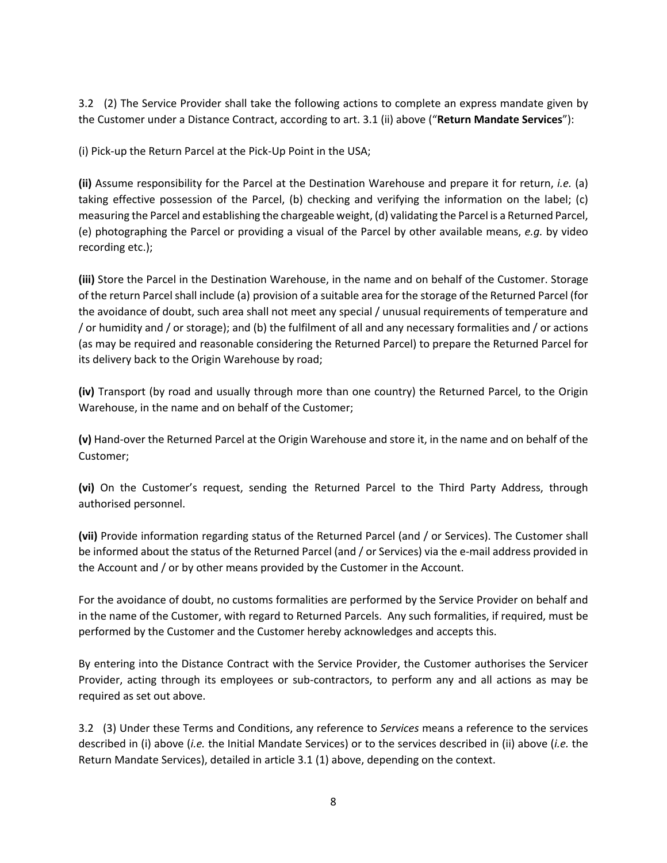3.2 (2) The Service Provider shall take the following actions to complete an express mandate given by the Customer under a Distance Contract, according to art. 3.1 (ii) above ("**Return Mandate Services**"):

(i) Pick-up the Return Parcel at the Pick-Up Point in the USA;

**(ii)** Assume responsibility for the Parcel at the Destination Warehouse and prepare it for return, *i.e.* (a) taking effective possession of the Parcel, (b) checking and verifying the information on the label; (c) measuring the Parcel and establishing the chargeable weight, (d) validating the Parcel is a Returned Parcel, (e) photographing the Parcel or providing a visual of the Parcel by other available means, *e.g.* by video recording etc.);

**(iii)** Store the Parcel in the Destination Warehouse, in the name and on behalf of the Customer. Storage of the return Parcel shall include (a) provision of a suitable area for the storage of the Returned Parcel (for the avoidance of doubt, such area shall not meet any special / unusual requirements of temperature and / or humidity and / or storage); and (b) the fulfilment of all and any necessary formalities and / or actions (as may be required and reasonable considering the Returned Parcel) to prepare the Returned Parcel for its delivery back to the Origin Warehouse by road;

**(iv)** Transport (by road and usually through more than one country) the Returned Parcel, to the Origin Warehouse, in the name and on behalf of the Customer;

**(v)** Hand-over the Returned Parcel at the Origin Warehouse and store it, in the name and on behalf of the Customer;

**(vi)** On the Customer's request, sending the Returned Parcel to the Third Party Address, through authorised personnel.

**(vii)** Provide information regarding status of the Returned Parcel (and / or Services). The Customer shall be informed about the status of the Returned Parcel (and / or Services) via the e-mail address provided in the Account and / or by other means provided by the Customer in the Account.

For the avoidance of doubt, no customs formalities are performed by the Service Provider on behalf and in the name of the Customer, with regard to Returned Parcels. Any such formalities, if required, must be performed by the Customer and the Customer hereby acknowledges and accepts this.

By entering into the Distance Contract with the Service Provider, the Customer authorises the Servicer Provider, acting through its employees or sub-contractors, to perform any and all actions as may be required as set out above.

3.2 (3) Under these Terms and Conditions, any reference to *Services* means a reference to the services described in (i) above (*i.e.* the Initial Mandate Services) or to the services described in (ii) above (*i.e.* the Return Mandate Services), detailed in article 3.1 (1) above, depending on the context.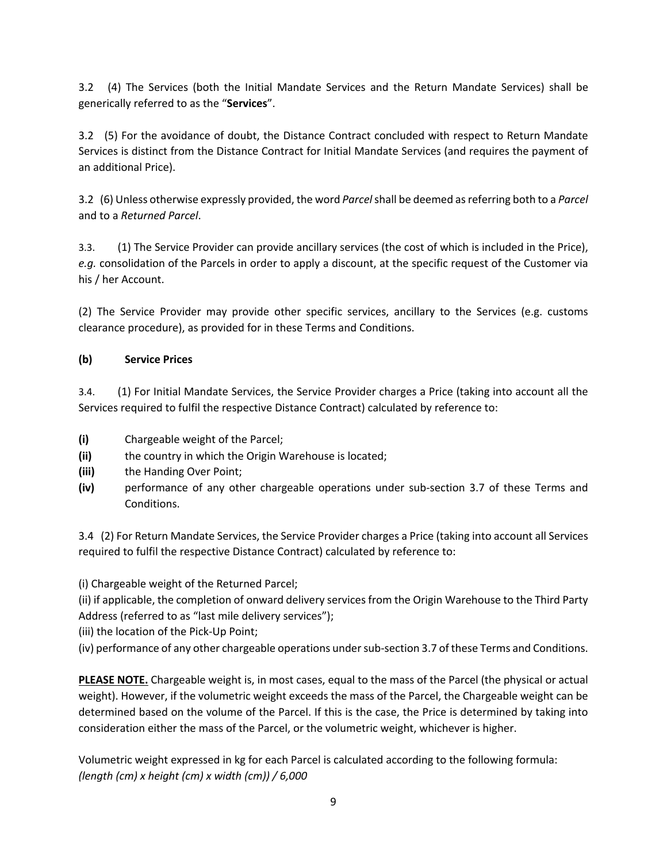3.2 (4) The Services (both the Initial Mandate Services and the Return Mandate Services) shall be generically referred to as the "**Services**".

3.2 (5) For the avoidance of doubt, the Distance Contract concluded with respect to Return Mandate Services is distinct from the Distance Contract for Initial Mandate Services (and requires the payment of an additional Price).

3.2 (6) Unless otherwise expressly provided, the word *Parcel*shall be deemed as referring both to a *Parcel* and to a *Returned Parcel*.

3.3. (1) The Service Provider can provide ancillary services (the cost of which is included in the Price), *e.g.* consolidation of the Parcels in order to apply a discount, at the specific request of the Customer via his / her Account.

(2) The Service Provider may provide other specific services, ancillary to the Services (e.g. customs clearance procedure), as provided for in these Terms and Conditions.

# **(b) Service Prices**

3.4. (1) For Initial Mandate Services, the Service Provider charges a Price (taking into account all the Services required to fulfil the respective Distance Contract) calculated by reference to:

- **(i)** Chargeable weight of the Parcel;
- **(ii)** the country in which the Origin Warehouse is located;
- **(iii)** the Handing Over Point;
- **(iv)** performance of any other chargeable operations under sub-section 3.7 of these Terms and Conditions.

3.4 (2) For Return Mandate Services, the Service Provider charges a Price (taking into account all Services required to fulfil the respective Distance Contract) calculated by reference to:

(i) Chargeable weight of the Returned Parcel;

(ii) if applicable, the completion of onward delivery services from the Origin Warehouse to the Third Party Address (referred to as "last mile delivery services");

- (iii) the location of the Pick-Up Point;
- (iv) performance of any other chargeable operations undersub-section 3.7 of these Terms and Conditions.

**PLEASE NOTE.** Chargeable weight is, in most cases, equal to the mass of the Parcel (the physical or actual weight). However, if the volumetric weight exceeds the mass of the Parcel, the Chargeable weight can be determined based on the volume of the Parcel. If this is the case, the Price is determined by taking into consideration either the mass of the Parcel, or the volumetric weight, whichever is higher.

Volumetric weight expressed in kg for each Parcel is calculated according to the following formula: *(length (cm) x height (cm) x width (cm)) / 6,000*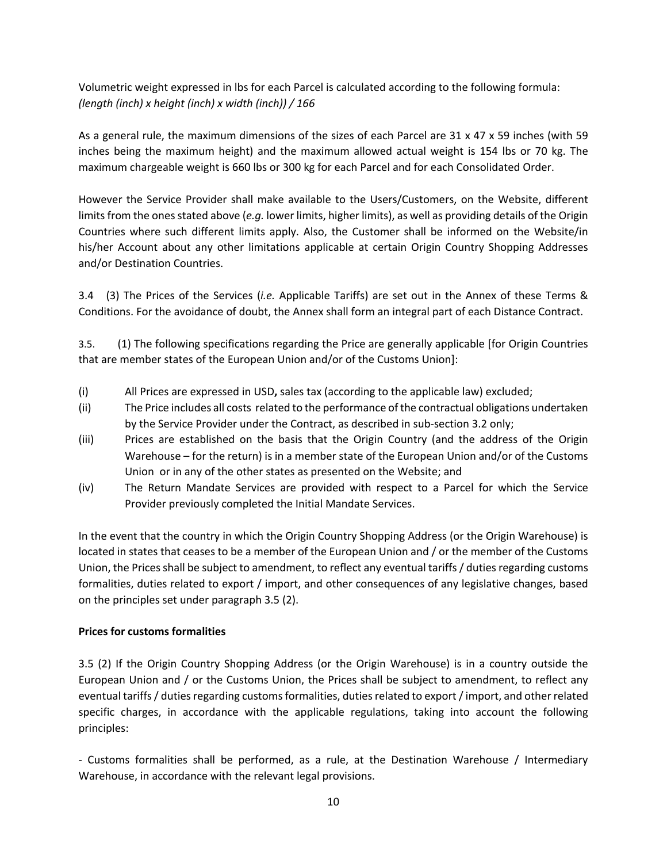Volumetric weight expressed in lbs for each Parcel is calculated according to the following formula: *(length (inch) x height (inch) x width (inch)) / 166*

As a general rule, the maximum dimensions of the sizes of each Parcel are 31 x 47 x 59 inches (with 59 inches being the maximum height) and the maximum allowed actual weight is 154 lbs or 70 kg. The maximum chargeable weight is 660 lbs or 300 kg for each Parcel and for each Consolidated Order.

However the Service Provider shall make available to the Users/Customers, on the Website, different limits from the ones stated above (*e.g.* lower limits, higher limits), as well as providing details of the Origin Countries where such different limits apply. Also, the Customer shall be informed on the Website/in his/her Account about any other limitations applicable at certain Origin Country Shopping Addresses and/or Destination Countries.

3.4 (3) The Prices of the Services (*i.e.* Applicable Tariffs) are set out in the Annex of these Terms & Conditions. For the avoidance of doubt, the Annex shall form an integral part of each Distance Contract.

3.5. (1) The following specifications regarding the Price are generally applicable [for Origin Countries that are member states of the European Union and/or of the Customs Union]:

- (i) All Prices are expressed in USD**,** sales tax (according to the applicable law) excluded;
- (ii) The Price includes all costs related to the performance of the contractual obligations undertaken by the Service Provider under the Contract, as described in sub-section 3.2 only;
- (iii) Prices are established on the basis that the Origin Country (and the address of the Origin Warehouse – for the return) is in a member state of the European Union and/or of the Customs Union or in any of the other states as presented on the Website; and
- (iv) The Return Mandate Services are provided with respect to a Parcel for which the Service Provider previously completed the Initial Mandate Services.

In the event that the country in which the Origin Country Shopping Address (or the Origin Warehouse) is located in states that ceases to be a member of the European Union and / or the member of the Customs Union, the Prices shall be subject to amendment, to reflect any eventual tariffs / duties regarding customs formalities, duties related to export / import, and other consequences of any legislative changes, based on the principles set under paragraph 3.5 (2).

#### **Prices for customs formalities**

3.5 (2) If the Origin Country Shopping Address (or the Origin Warehouse) is in a country outside the European Union and / or the Customs Union, the Prices shall be subject to amendment, to reflect any eventual tariffs / duties regarding customs formalities, duties related to export / import, and other related specific charges, in accordance with the applicable regulations, taking into account the following principles:

- Customs formalities shall be performed, as a rule, at the Destination Warehouse / Intermediary Warehouse, in accordance with the relevant legal provisions.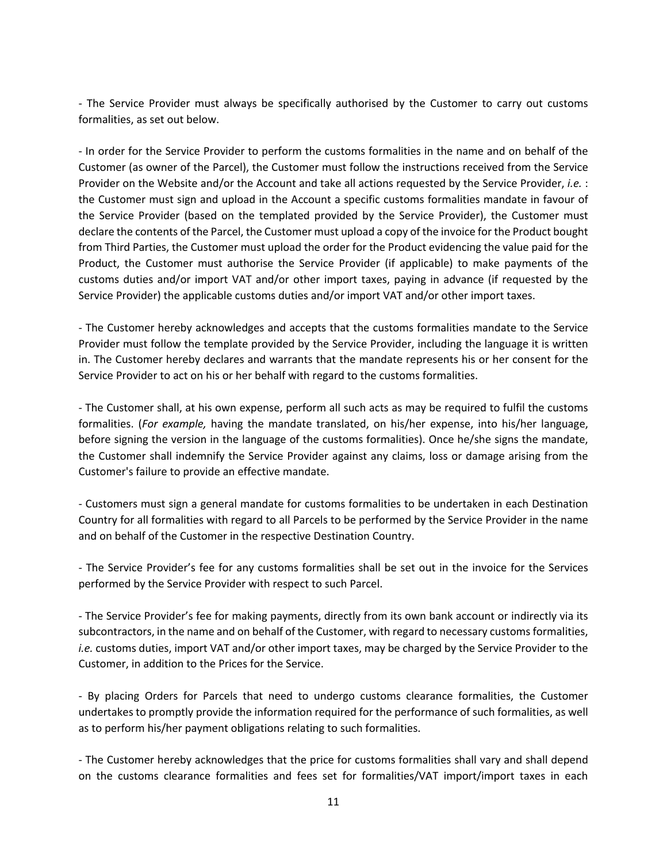- The Service Provider must always be specifically authorised by the Customer to carry out customs formalities, as set out below.

- In order for the Service Provider to perform the customs formalities in the name and on behalf of the Customer (as owner of the Parcel), the Customer must follow the instructions received from the Service Provider on the Website and/or the Account and take all actions requested by the Service Provider, *i.e.* : the Customer must sign and upload in the Account a specific customs formalities mandate in favour of the Service Provider (based on the templated provided by the Service Provider), the Customer must declare the contents of the Parcel, the Customer must upload a copy of the invoice for the Product bought from Third Parties, the Customer must upload the order for the Product evidencing the value paid for the Product, the Customer must authorise the Service Provider (if applicable) to make payments of the customs duties and/or import VAT and/or other import taxes, paying in advance (if requested by the Service Provider) the applicable customs duties and/or import VAT and/or other import taxes.

- The Customer hereby acknowledges and accepts that the customs formalities mandate to the Service Provider must follow the template provided by the Service Provider, including the language it is written in. The Customer hereby declares and warrants that the mandate represents his or her consent for the Service Provider to act on his or her behalf with regard to the customs formalities.

- The Customer shall, at his own expense, perform all such acts as may be required to fulfil the customs formalities. (*For example,* having the mandate translated, on his/her expense, into his/her language, before signing the version in the language of the customs formalities). Once he/she signs the mandate, the Customer shall indemnify the Service Provider against any claims, loss or damage arising from the Customer's failure to provide an effective mandate.

- Customers must sign a general mandate for customs formalities to be undertaken in each Destination Country for all formalities with regard to all Parcels to be performed by the Service Provider in the name and on behalf of the Customer in the respective Destination Country.

- The Service Provider's fee for any customs formalities shall be set out in the invoice for the Services performed by the Service Provider with respect to such Parcel.

- The Service Provider's fee for making payments, directly from its own bank account or indirectly via its subcontractors, in the name and on behalf of the Customer, with regard to necessary customs formalities, *i.e.* customs duties, import VAT and/or other import taxes, may be charged by the Service Provider to the Customer, in addition to the Prices for the Service.

- By placing Orders for Parcels that need to undergo customs clearance formalities, the Customer undertakes to promptly provide the information required for the performance of such formalities, as well as to perform his/her payment obligations relating to such formalities.

- The Customer hereby acknowledges that the price for customs formalities shall vary and shall depend on the customs clearance formalities and fees set for formalities/VAT import/import taxes in each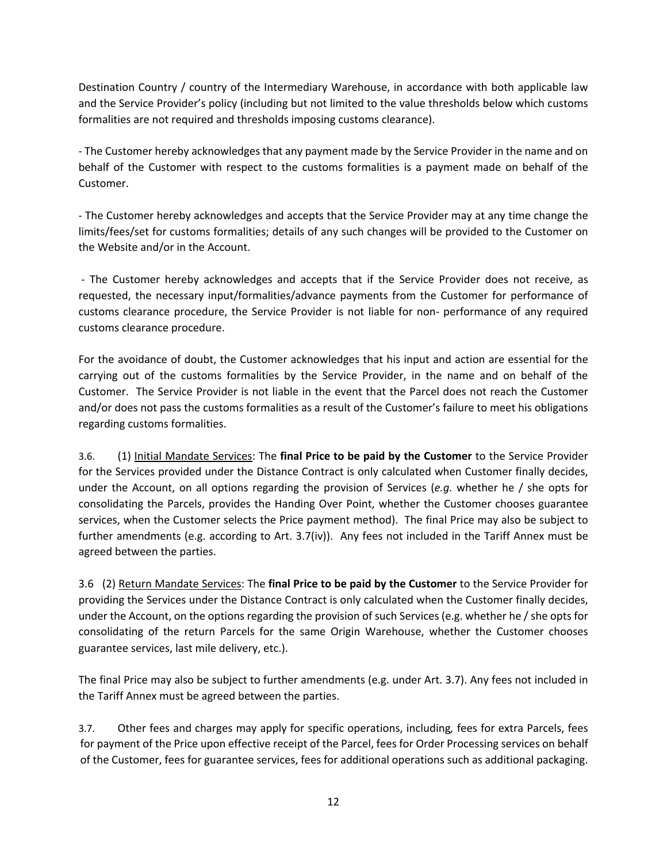Destination Country / country of the Intermediary Warehouse, in accordance with both applicable law and the Service Provider's policy (including but not limited to the value thresholds below which customs formalities are not required and thresholds imposing customs clearance).

- The Customer hereby acknowledges that any payment made by the Service Provider in the name and on behalf of the Customer with respect to the customs formalities is a payment made on behalf of the Customer.

- The Customer hereby acknowledges and accepts that the Service Provider may at any time change the limits/fees/set for customs formalities; details of any such changes will be provided to the Customer on the Website and/or in the Account.

- The Customer hereby acknowledges and accepts that if the Service Provider does not receive, as requested, the necessary input/formalities/advance payments from the Customer for performance of customs clearance procedure, the Service Provider is not liable for non- performance of any required customs clearance procedure.

For the avoidance of doubt, the Customer acknowledges that his input and action are essential for the carrying out of the customs formalities by the Service Provider, in the name and on behalf of the Customer. The Service Provider is not liable in the event that the Parcel does not reach the Customer and/or does not pass the customs formalities as a result of the Customer's failure to meet his obligations regarding customs formalities.

3.6. (1) Initial Mandate Services: The **final Price to be paid by the Customer** to the Service Provider for the Services provided under the Distance Contract is only calculated when Customer finally decides, under the Account, on all options regarding the provision of Services (*e.g.* whether he / she opts for consolidating the Parcels, provides the Handing Over Point, whether the Customer chooses guarantee services, when the Customer selects the Price payment method). The final Price may also be subject to further amendments (e.g. according to Art. 3.7(iv)). Any fees not included in the Tariff Annex must be agreed between the parties.

3.6 (2) Return Mandate Services: The **final Price to be paid by the Customer** to the Service Provider for providing the Services under the Distance Contract is only calculated when the Customer finally decides, under the Account, on the options regarding the provision of such Services (e.g. whether he / she opts for consolidating of the return Parcels for the same Origin Warehouse, whether the Customer chooses guarantee services, last mile delivery, etc.).

The final Price may also be subject to further amendments (e.g. under Art. 3.7). Any fees not included in the Tariff Annex must be agreed between the parties.

3.7. Other fees and charges may apply for specific operations, including*,* fees for extra Parcels, fees for payment of the Price upon effective receipt of the Parcel, fees for Order Processing services on behalf of the Customer, fees for guarantee services, fees for additional operations such as additional packaging.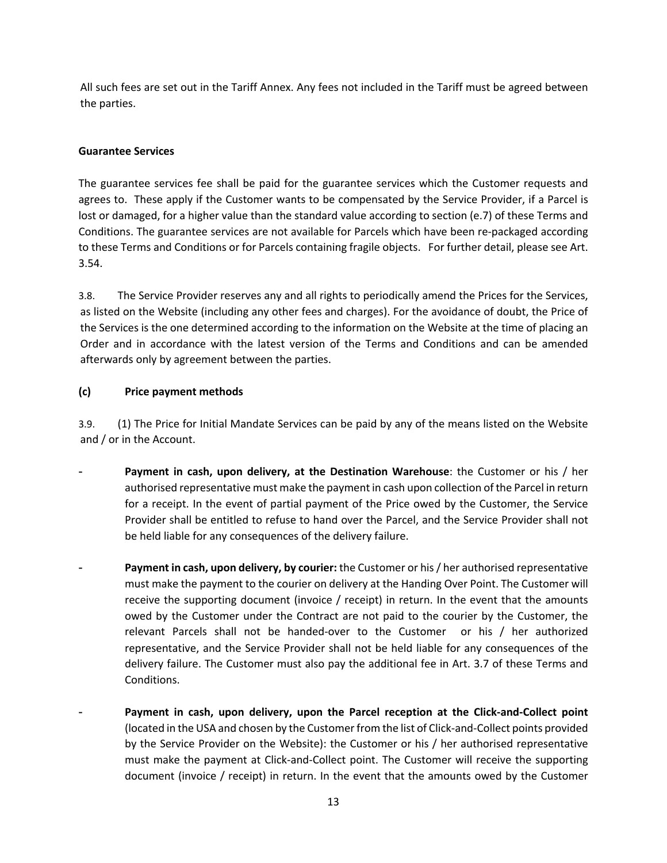All such fees are set out in the Tariff Annex. Any fees not included in the Tariff must be agreed between the parties.

### **Guarantee Services**

The guarantee services fee shall be paid for the guarantee services which the Customer requests and agrees to. These apply if the Customer wants to be compensated by the Service Provider, if a Parcel is lost or damaged, for a higher value than the standard value according to section (e.7) of these Terms and Conditions. The guarantee services are not available for Parcels which have been re-packaged according to these Terms and Conditions or for Parcels containing fragile objects. For further detail, please see Art. 3.54.

3.8. The Service Provider reserves any and all rights to periodically amend the Prices for the Services, as listed on the Website (including any other fees and charges). For the avoidance of doubt, the Price of the Services is the one determined according to the information on the Website at the time of placing an Order and in accordance with the latest version of the Terms and Conditions and can be amended afterwards only by agreement between the parties.

### **(c) Price payment methods**

3.9. (1) The Price for Initial Mandate Services can be paid by any of the means listed on the Website and / or in the Account.

- **Payment in cash, upon delivery, at the Destination Warehouse:** the Customer or his / her authorised representative must make the payment in cash upon collection of the Parcel in return for a receipt. In the event of partial payment of the Price owed by the Customer, the Service Provider shall be entitled to refuse to hand over the Parcel, and the Service Provider shall not be held liable for any consequences of the delivery failure.
- Payment in cash, upon delivery, by courier: the Customer or his / her authorised representative must make the payment to the courier on delivery at the Handing Over Point. The Customer will receive the supporting document (invoice / receipt) in return. In the event that the amounts owed by the Customer under the Contract are not paid to the courier by the Customer, the relevant Parcels shall not be handed-over to the Customer or his / her authorized representative, and the Service Provider shall not be held liable for any consequences of the delivery failure. The Customer must also pay the additional fee in Art. 3.7 of these Terms and Conditions.
- Payment in cash, upon delivery, upon the Parcel reception at the Click-and-Collect point (located in the USA and chosen by the Customer from the list of Click-and-Collect points provided by the Service Provider on the Website): the Customer or his / her authorised representative must make the payment at Click-and-Collect point. The Customer will receive the supporting document (invoice / receipt) in return. In the event that the amounts owed by the Customer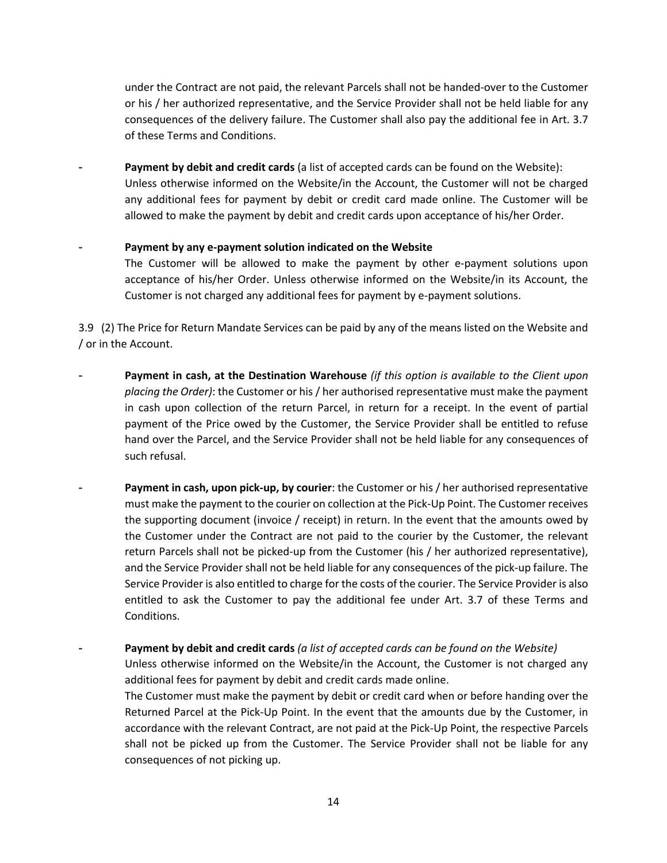under the Contract are not paid, the relevant Parcels shall not be handed-over to the Customer or his / her authorized representative, and the Service Provider shall not be held liable for any consequences of the delivery failure. The Customer shall also pay the additional fee in Art. 3.7 of these Terms and Conditions.

Payment by debit and credit cards (a list of accepted cards can be found on the Website): Unless otherwise informed on the Website/in the Account, the Customer will not be charged any additional fees for payment by debit or credit card made online. The Customer will be allowed to make the payment by debit and credit cards upon acceptance of his/her Order.

#### Payment by any e-payment solution indicated on the Website

The Customer will be allowed to make the payment by other e-payment solutions upon acceptance of his/her Order. Unless otherwise informed on the Website/in its Account, the Customer is not charged any additional fees for payment by e-payment solutions.

3.9 (2) The Price for Return Mandate Services can be paid by any of the means listed on the Website and / or in the Account.

- Payment in cash, at the Destination Warehouse *(if this option is available to the Client upon placing the Order)*: the Customer or his / her authorised representative must make the payment in cash upon collection of the return Parcel, in return for a receipt. In the event of partial payment of the Price owed by the Customer, the Service Provider shall be entitled to refuse hand over the Parcel, and the Service Provider shall not be held liable for any consequences of such refusal.
- **Payment in cash, upon pick-up, by courier**: the Customer or his / her authorised representative must make the payment to the courier on collection at the Pick-Up Point. The Customer receives the supporting document (invoice / receipt) in return. In the event that the amounts owed by the Customer under the Contract are not paid to the courier by the Customer, the relevant return Parcels shall not be picked-up from the Customer (his / her authorized representative), and the Service Provider shall not be held liable for any consequences of the pick-up failure. The Service Provider is also entitled to charge for the costs of the courier. The Service Provider is also entitled to ask the Customer to pay the additional fee under Art. 3.7 of these Terms and Conditions.

- **Payment by debit and credit cards** *(a list of accepted cards can be found on the Website)*

Unless otherwise informed on the Website/in the Account, the Customer is not charged any additional fees for payment by debit and credit cards made online.

The Customer must make the payment by debit or credit card when or before handing over the Returned Parcel at the Pick-Up Point. In the event that the amounts due by the Customer, in accordance with the relevant Contract, are not paid at the Pick-Up Point, the respective Parcels shall not be picked up from the Customer. The Service Provider shall not be liable for any consequences of not picking up.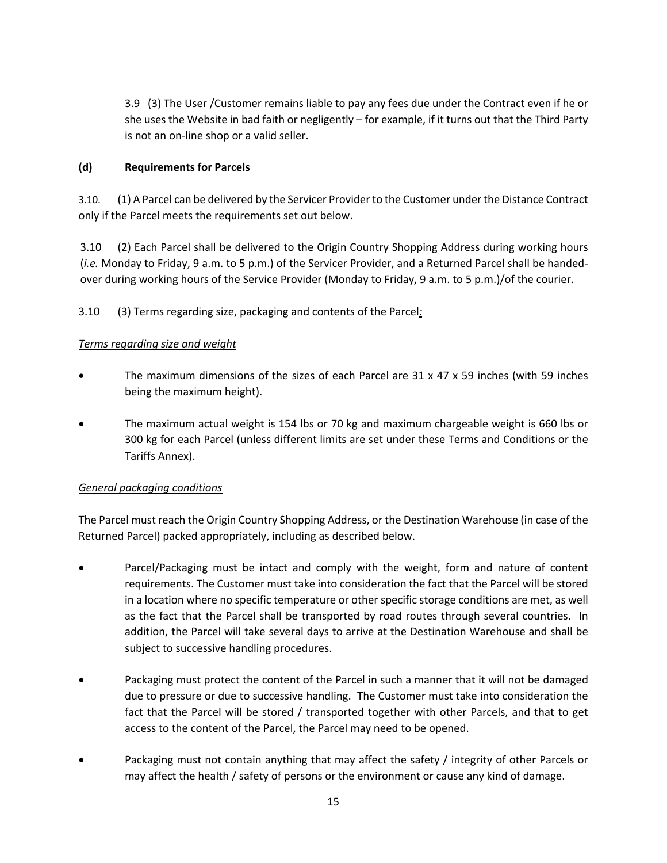3.9 (3) The User /Customer remains liable to pay any fees due under the Contract even if he or she uses the Website in bad faith or negligently – for example, if it turns out that the Third Party is not an on-line shop or a valid seller.

# **(d) Requirements for Parcels**

3.10. (1) A Parcel can be delivered by the Servicer Provider to the Customer under the Distance Contract only if the Parcel meets the requirements set out below.

3.10 (2) Each Parcel shall be delivered to the Origin Country Shopping Address during working hours (*i.e.* Monday to Friday, 9 a.m. to 5 p.m.) of the Servicer Provider, and a Returned Parcel shall be handedover during working hours of the Service Provider (Monday to Friday, 9 a.m. to 5 p.m.)/of the courier.

3.10 (3) Terms regarding size, packaging and contents of the Parcel*:*

# *Terms regarding size and weight*

- The maximum dimensions of the sizes of each Parcel are  $31 \times 47 \times 59$  inches (with 59 inches being the maximum height).
- The maximum actual weight is 154 lbs or 70 kg and maximum chargeable weight is 660 lbs or 300 kg for each Parcel (unless different limits are set under these Terms and Conditions or the Tariffs Annex).

# *General packaging conditions*

The Parcel must reach the Origin Country Shopping Address, or the Destination Warehouse (in case of the Returned Parcel) packed appropriately, including as described below.

- Parcel/Packaging must be intact and comply with the weight, form and nature of content requirements. The Customer must take into consideration the fact that the Parcel will be stored in a location where no specific temperature or other specific storage conditions are met, as well as the fact that the Parcel shall be transported by road routes through several countries. In addition, the Parcel will take several days to arrive at the Destination Warehouse and shall be subject to successive handling procedures.
- Packaging must protect the content of the Parcel in such a manner that it will not be damaged due to pressure or due to successive handling. The Customer must take into consideration the fact that the Parcel will be stored / transported together with other Parcels, and that to get access to the content of the Parcel, the Parcel may need to be opened.
- Packaging must not contain anything that may affect the safety / integrity of other Parcels or may affect the health / safety of persons or the environment or cause any kind of damage.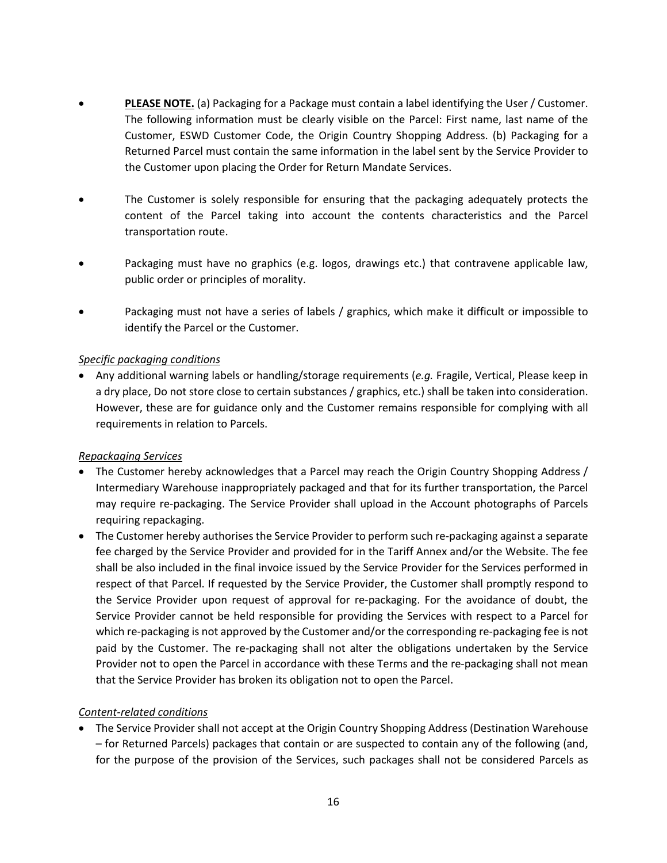- **PLEASE NOTE.** (a) Packaging for a Package must contain a label identifying the User / Customer. The following information must be clearly visible on the Parcel: First name, last name of the Customer, ESWD Customer Code, the Origin Country Shopping Address. (b) Packaging for a Returned Parcel must contain the same information in the label sent by the Service Provider to the Customer upon placing the Order for Return Mandate Services.
- The Customer is solely responsible for ensuring that the packaging adequately protects the content of the Parcel taking into account the contents characteristics and the Parcel transportation route.
- Packaging must have no graphics (e.g. logos, drawings etc.) that contravene applicable law, public order or principles of morality.
- Packaging must not have a series of labels / graphics, which make it difficult or impossible to identify the Parcel or the Customer.

### *Specific packaging conditions*

• Any additional warning labels or handling/storage requirements (*e.g.* Fragile, Vertical, Please keep in a dry place, Do not store close to certain substances / graphics, etc.) shall be taken into consideration. However, these are for guidance only and the Customer remains responsible for complying with all requirements in relation to Parcels.

#### *Repackaging Services*

- The Customer hereby acknowledges that a Parcel may reach the Origin Country Shopping Address / Intermediary Warehouse inappropriately packaged and that for its further transportation, the Parcel may require re-packaging. The Service Provider shall upload in the Account photographs of Parcels requiring repackaging.
- The Customer hereby authorises the Service Provider to perform such re-packaging against a separate fee charged by the Service Provider and provided for in the Tariff Annex and/or the Website. The fee shall be also included in the final invoice issued by the Service Provider for the Services performed in respect of that Parcel. If requested by the Service Provider, the Customer shall promptly respond to the Service Provider upon request of approval for re-packaging. For the avoidance of doubt, the Service Provider cannot be held responsible for providing the Services with respect to a Parcel for which re-packaging is not approved by the Customer and/or the corresponding re-packaging fee is not paid by the Customer. The re-packaging shall not alter the obligations undertaken by the Service Provider not to open the Parcel in accordance with these Terms and the re-packaging shall not mean that the Service Provider has broken its obligation not to open the Parcel.

# *Content-related conditions*

• The Service Provider shall not accept at the Origin Country Shopping Address (Destination Warehouse – for Returned Parcels) packages that contain or are suspected to contain any of the following (and, for the purpose of the provision of the Services, such packages shall not be considered Parcels as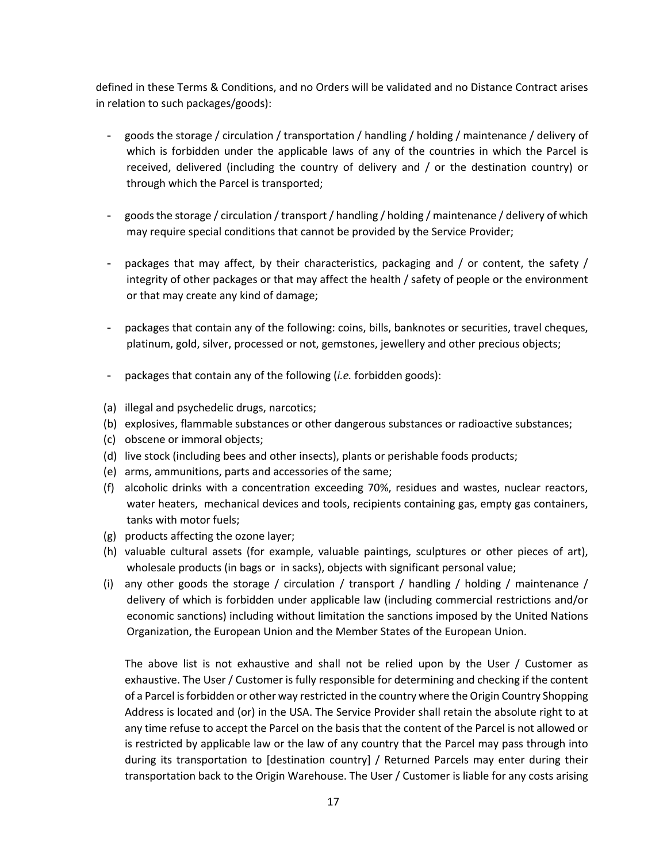defined in these Terms & Conditions, and no Orders will be validated and no Distance Contract arises in relation to such packages/goods):

- goods the storage / circulation / transportation / handling / holding / maintenance / delivery of which is forbidden under the applicable laws of any of the countries in which the Parcel is received, delivered (including the country of delivery and / or the destination country) or through which the Parcel is transported;
- goods the storage / circulation / transport / handling / holding / maintenance / delivery of which may require special conditions that cannot be provided by the Service Provider;
- packages that may affect, by their characteristics, packaging and / or content, the safety / integrity of other packages or that may affect the health / safety of people or the environment or that may create any kind of damage;
- packages that contain any of the following: coins, bills, banknotes or securities, travel cheques, platinum, gold, silver, processed or not, gemstones, jewellery and other precious objects;
- packages that contain any of the following (*i.e.* forbidden goods):
- (a) illegal and psychedelic drugs, narcotics;
- (b) explosives, flammable substances or other dangerous substances or radioactive substances;
- (c) obscene or immoral objects;
- (d) live stock (including bees and other insects), plants or perishable foods products;
- (e) arms, ammunitions, parts and accessories of the same;
- (f) alcoholic drinks with a concentration exceeding 70%, residues and wastes, nuclear reactors, water heaters, mechanical devices and tools, recipients containing gas, empty gas containers, tanks with motor fuels;
- (g) products affecting the ozone layer;
- (h) valuable cultural assets (for example, valuable paintings, sculptures or other pieces of art), wholesale products (in bags or in sacks), objects with significant personal value;
- (i) any other goods the storage / circulation / transport / handling / holding / maintenance / delivery of which is forbidden under applicable law (including commercial restrictions and/or economic sanctions) including without limitation the sanctions imposed by the United Nations Organization, the European Union and the Member States of the European Union.

The above list is not exhaustive and shall not be relied upon by the User / Customer as exhaustive. The User / Customer is fully responsible for determining and checking if the content of a Parcel is forbidden or other way restricted in the country where the Origin Country Shopping Address is located and (or) in the USA. The Service Provider shall retain the absolute right to at any time refuse to accept the Parcel on the basis that the content of the Parcel is not allowed or is restricted by applicable law or the law of any country that the Parcel may pass through into during its transportation to [destination country] / Returned Parcels may enter during their transportation back to the Origin Warehouse. The User / Customer is liable for any costs arising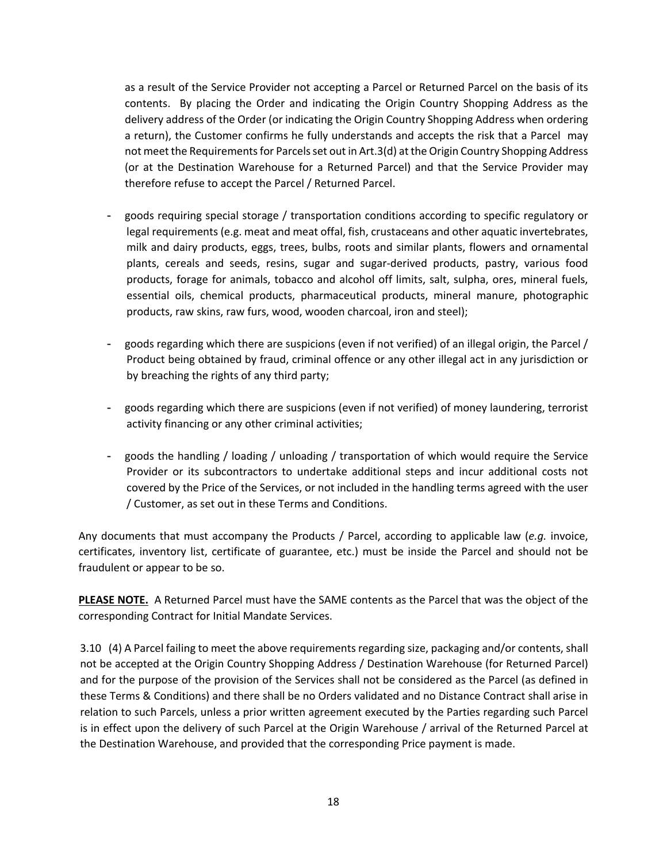as a result of the Service Provider not accepting a Parcel or Returned Parcel on the basis of its contents. By placing the Order and indicating the Origin Country Shopping Address as the delivery address of the Order (or indicating the Origin Country Shopping Address when ordering a return), the Customer confirms he fully understands and accepts the risk that a Parcel may not meet the Requirements for Parcels set out in Art.3(d) at the Origin Country Shopping Address (or at the Destination Warehouse for a Returned Parcel) and that the Service Provider may therefore refuse to accept the Parcel / Returned Parcel.

- goods requiring special storage / transportation conditions according to specific regulatory or legal requirements (e.g. meat and meat offal, fish, crustaceans and other aquatic invertebrates, milk and dairy products, eggs, trees, bulbs, roots and similar plants, flowers and ornamental plants, cereals and seeds, resins, sugar and sugar-derived products, pastry, various food products, forage for animals, tobacco and alcohol off limits, salt, sulpha, ores, mineral fuels, essential oils, chemical products, pharmaceutical products, mineral manure, photographic products, raw skins, raw furs, wood, wooden charcoal, iron and steel);
- goods regarding which there are suspicions (even if not verified) of an illegal origin, the Parcel / Product being obtained by fraud, criminal offence or any other illegal act in any jurisdiction or by breaching the rights of any third party;
- goods regarding which there are suspicions (even if not verified) of money laundering, terrorist activity financing or any other criminal activities;
- goods the handling / loading / unloading / transportation of which would require the Service Provider or its subcontractors to undertake additional steps and incur additional costs not covered by the Price of the Services, or not included in the handling terms agreed with the user / Customer, as set out in these Terms and Conditions.

Any documents that must accompany the Products / Parcel, according to applicable law (*e.g.* invoice, certificates, inventory list, certificate of guarantee, etc.) must be inside the Parcel and should not be fraudulent or appear to be so.

**PLEASE NOTE.** A Returned Parcel must have the SAME contents as the Parcel that was the object of the corresponding Contract for Initial Mandate Services.

3.10 (4) A Parcel failing to meet the above requirements regarding size, packaging and/or contents, shall not be accepted at the Origin Country Shopping Address / Destination Warehouse (for Returned Parcel) and for the purpose of the provision of the Services shall not be considered as the Parcel (as defined in these Terms & Conditions) and there shall be no Orders validated and no Distance Contract shall arise in relation to such Parcels, unless a prior written agreement executed by the Parties regarding such Parcel is in effect upon the delivery of such Parcel at the Origin Warehouse / arrival of the Returned Parcel at the Destination Warehouse, and provided that the corresponding Price payment is made.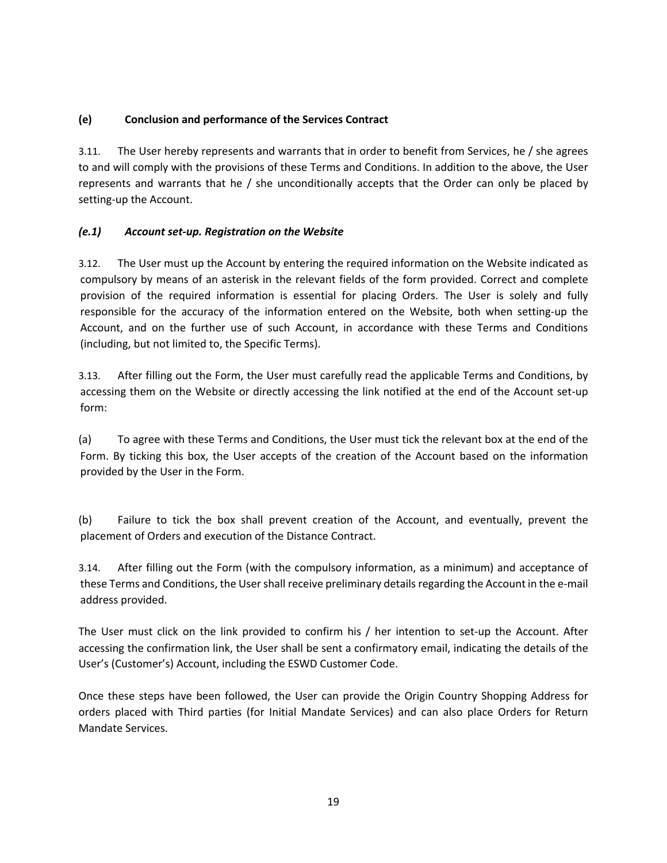# **(e) Conclusion and performance of the Services Contract**

3.11. The User hereby represents and warrants that in order to benefit from Services, he / she agrees to and will comply with the provisions of these Terms and Conditions. In addition to the above, the User represents and warrants that he / she unconditionally accepts that the Order can only be placed by setting-up the Account.

# *(e.1) Account set-up. Registration on the Website*

3.12. The User must up the Account by entering the required information on the Website indicated as compulsory by means of an asterisk in the relevant fields of the form provided. Correct and complete provision of the required information is essential for placing Orders. The User is solely and fully responsible for the accuracy of the information entered on the Website, both when setting-up the Account, and on the further use of such Account, in accordance with these Terms and Conditions (including, but not limited to, the Specific Terms).

3.13. After filling out the Form, the User must carefully read the applicable Terms and Conditions, by accessing them on the Website or directly accessing the link notified at the end of the Account set-up form:

(a) To agree with these Terms and Conditions, the User must tick the relevant box at the end of the Form. By ticking this box, the User accepts of the creation of the Account based on the information provided by the User in the Form.

(b) Failure to tick the box shall prevent creation of the Account, and eventually, prevent the placement of Orders and execution of the Distance Contract.

3.14. After filling out the Form (with the compulsory information, as a minimum) and acceptance of these Terms and Conditions, the User shall receive preliminary details regarding the Account in the e-mail address provided.

The User must click on the link provided to confirm his / her intention to set-up the Account. After accessing the confirmation link, the User shall be sent a confirmatory email, indicating the details of the User's (Customer's) Account, including the ESWD Customer Code.

Once these steps have been followed, the User can provide the Origin Country Shopping Address for orders placed with Third parties (for Initial Mandate Services) and can also place Orders for Return Mandate Services.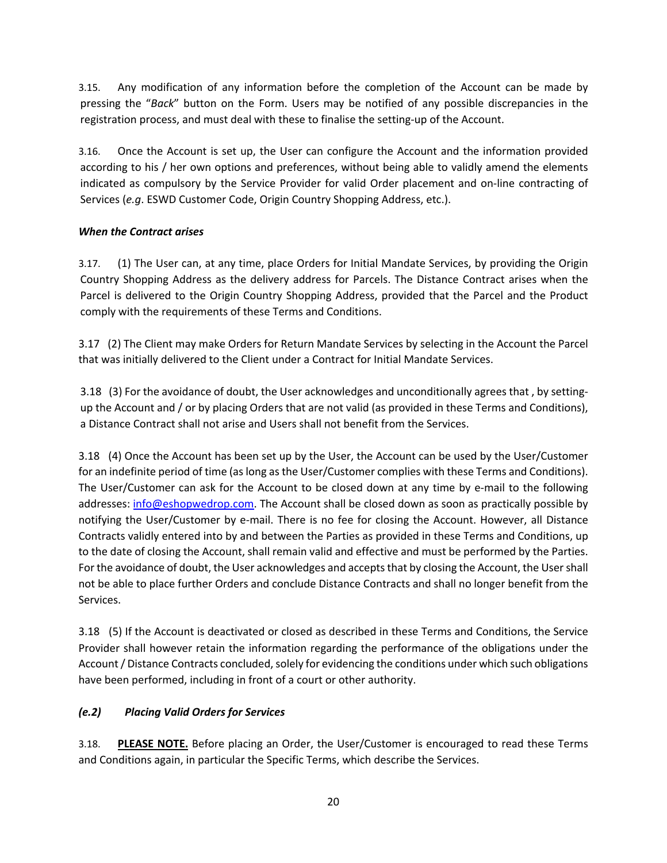3.15. Any modification of any information before the completion of the Account can be made by pressing the "*Back*" button on the Form. Users may be notified of any possible discrepancies in the registration process, and must deal with these to finalise the setting-up of the Account.

3.16. Once the Account is set up, the User can configure the Account and the information provided according to his / her own options and preferences, without being able to validly amend the elements indicated as compulsory by the Service Provider for valid Order placement and on-line contracting of Services (*e.g*. ESWD Customer Code, Origin Country Shopping Address, etc.).

# *When the Contract arises*

3.17. (1) The User can, at any time, place Orders for Initial Mandate Services, by providing the Origin Country Shopping Address as the delivery address for Parcels. The Distance Contract arises when the Parcel is delivered to the Origin Country Shopping Address, provided that the Parcel and the Product comply with the requirements of these Terms and Conditions.

3.17 (2) The Client may make Orders for Return Mandate Services by selecting in the Account the Parcel that was initially delivered to the Client under a Contract for Initial Mandate Services.

3.18 (3) For the avoidance of doubt, the User acknowledges and unconditionally agrees that , by settingup the Account and / or by placing Orders that are not valid (as provided in these Terms and Conditions), a Distance Contract shall not arise and Users shall not benefit from the Services.

3.18 (4) Once the Account has been set up by the User, the Account can be used by the User/Customer for an indefinite period of time (as long as the User/Customer complies with these Terms and Conditions). The User/Customer can ask for the Account to be closed down at any time by e-mail to the following addresses: info@eshopwedrop.com. The Account shall be closed down as soon as practically possible by notifying the User/Customer by e-mail. There is no fee for closing the Account. However, all Distance Contracts validly entered into by and between the Parties as provided in these Terms and Conditions, up to the date of closing the Account, shall remain valid and effective and must be performed by the Parties. For the avoidance of doubt, the User acknowledges and accepts that by closing the Account, the User shall not be able to place further Orders and conclude Distance Contracts and shall no longer benefit from the Services.

3.18 (5) If the Account is deactivated or closed as described in these Terms and Conditions, the Service Provider shall however retain the information regarding the performance of the obligations under the Account / Distance Contracts concluded, solely for evidencing the conditions under which such obligations have been performed, including in front of a court or other authority.

# *(e.2) Placing Valid Orders for Services*

3.18. **PLEASE NOTE.** Before placing an Order, the User/Customer is encouraged to read these Terms and Conditions again, in particular the Specific Terms, which describe the Services.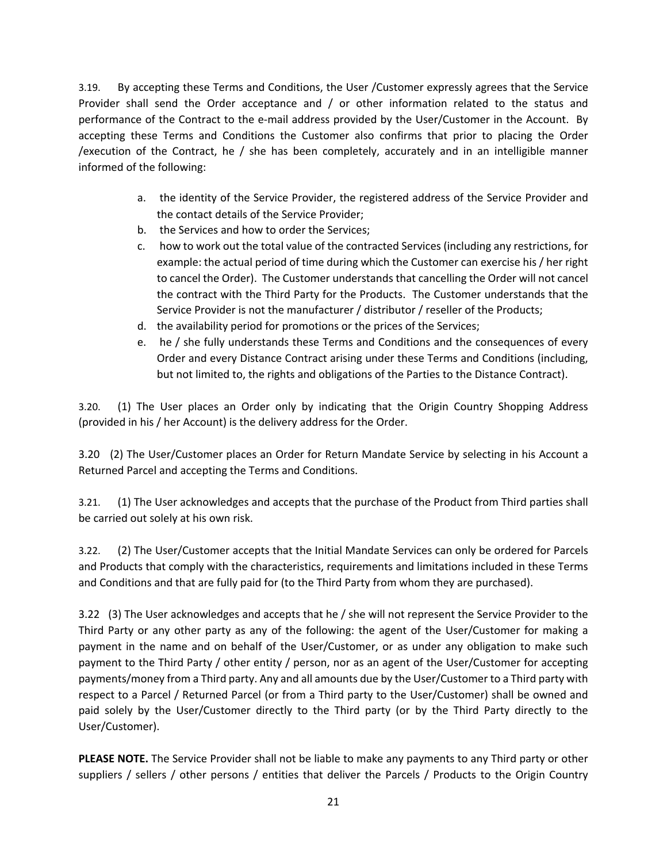3.19. By accepting these Terms and Conditions, the User /Customer expressly agrees that the Service Provider shall send the Order acceptance and / or other information related to the status and performance of the Contract to the e-mail address provided by the User/Customer in the Account. By accepting these Terms and Conditions the Customer also confirms that prior to placing the Order /execution of the Contract, he / she has been completely, accurately and in an intelligible manner informed of the following:

- a. the identity of the Service Provider, the registered address of the Service Provider and the contact details of the Service Provider;
- b. the Services and how to order the Services;
- c. how to work out the total value of the contracted Services (including any restrictions, for example: the actual period of time during which the Customer can exercise his / her right to cancel the Order). The Customer understands that cancelling the Order will not cancel the contract with the Third Party for the Products. The Customer understands that the Service Provider is not the manufacturer / distributor / reseller of the Products;
- d. the availability period for promotions or the prices of the Services;
- e. he / she fully understands these Terms and Conditions and the consequences of every Order and every Distance Contract arising under these Terms and Conditions (including, but not limited to, the rights and obligations of the Parties to the Distance Contract).

3.20. (1) The User places an Order only by indicating that the Origin Country Shopping Address (provided in his / her Account) is the delivery address for the Order.

3.20 (2) The User/Customer places an Order for Return Mandate Service by selecting in his Account a Returned Parcel and accepting the Terms and Conditions.

3.21. (1) The User acknowledges and accepts that the purchase of the Product from Third parties shall be carried out solely at his own risk.

3.22. (2) The User/Customer accepts that the Initial Mandate Services can only be ordered for Parcels and Products that comply with the characteristics, requirements and limitations included in these Terms and Conditions and that are fully paid for (to the Third Party from whom they are purchased).

3.22 (3) The User acknowledges and accepts that he / she will not represent the Service Provider to the Third Party or any other party as any of the following: the agent of the User/Customer for making a payment in the name and on behalf of the User/Customer, or as under any obligation to make such payment to the Third Party / other entity / person, nor as an agent of the User/Customer for accepting payments/money from a Third party. Any and all amounts due by the User/Customer to a Third party with respect to a Parcel / Returned Parcel (or from a Third party to the User/Customer) shall be owned and paid solely by the User/Customer directly to the Third party (or by the Third Party directly to the User/Customer).

**PLEASE NOTE.** The Service Provider shall not be liable to make any payments to any Third party or other suppliers / sellers / other persons / entities that deliver the Parcels / Products to the Origin Country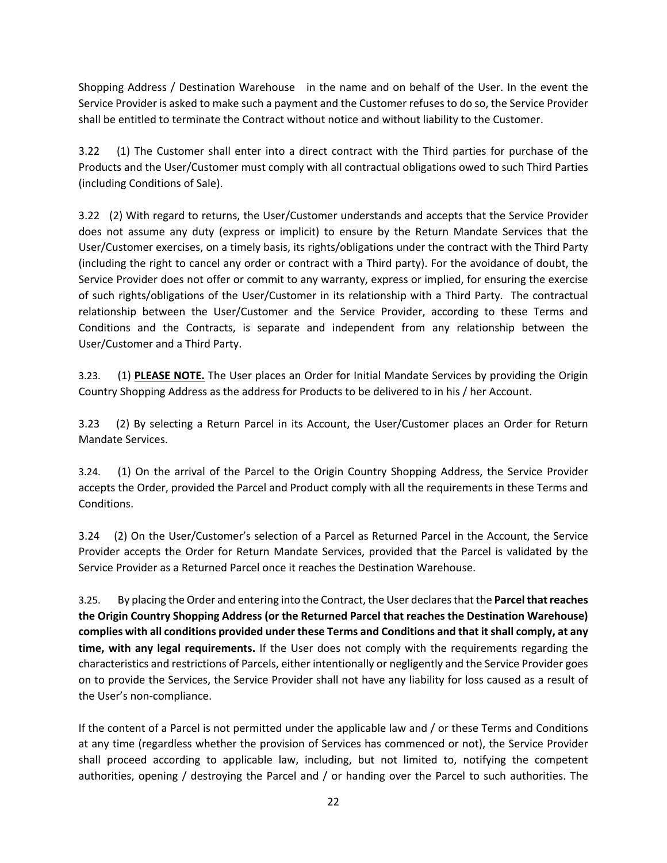Shopping Address / Destination Warehouse in the name and on behalf of the User. In the event the Service Provider is asked to make such a payment and the Customer refuses to do so, the Service Provider shall be entitled to terminate the Contract without notice and without liability to the Customer.

3.22 (1) The Customer shall enter into a direct contract with the Third parties for purchase of the Products and the User/Customer must comply with all contractual obligations owed to such Third Parties (including Conditions of Sale).

3.22 (2) With regard to returns, the User/Customer understands and accepts that the Service Provider does not assume any duty (express or implicit) to ensure by the Return Mandate Services that the User/Customer exercises, on a timely basis, its rights/obligations under the contract with the Third Party (including the right to cancel any order or contract with a Third party). For the avoidance of doubt, the Service Provider does not offer or commit to any warranty, express or implied, for ensuring the exercise of such rights/obligations of the User/Customer in its relationship with a Third Party. The contractual relationship between the User/Customer and the Service Provider, according to these Terms and Conditions and the Contracts, is separate and independent from any relationship between the User/Customer and a Third Party.

3.23. (1) **PLEASE NOTE.** The User places an Order for Initial Mandate Services by providing the Origin Country Shopping Address as the address for Products to be delivered to in his / her Account.

3.23 (2) By selecting a Return Parcel in its Account, the User/Customer places an Order for Return Mandate Services.

3.24. (1) On the arrival of the Parcel to the Origin Country Shopping Address, the Service Provider accepts the Order, provided the Parcel and Product comply with all the requirements in these Terms and Conditions.

3.24 (2) On the User/Customer's selection of a Parcel as Returned Parcel in the Account, the Service Provider accepts the Order for Return Mandate Services, provided that the Parcel is validated by the Service Provider as a Returned Parcel once it reaches the Destination Warehouse.

3.25. By placing the Order and entering into the Contract, the User declares that the **Parcel that reaches the Origin Country Shopping Address (or the Returned Parcel that reaches the Destination Warehouse) complies with all conditions provided under these Terms and Conditions and that it shall comply, at any time, with any legal requirements.** If the User does not comply with the requirements regarding the characteristics and restrictions of Parcels, either intentionally or negligently and the Service Provider goes on to provide the Services, the Service Provider shall not have any liability for loss caused as a result of the User's non-compliance.

If the content of a Parcel is not permitted under the applicable law and / or these Terms and Conditions at any time (regardless whether the provision of Services has commenced or not), the Service Provider shall proceed according to applicable law, including, but not limited to, notifying the competent authorities, opening / destroying the Parcel and / or handing over the Parcel to such authorities. The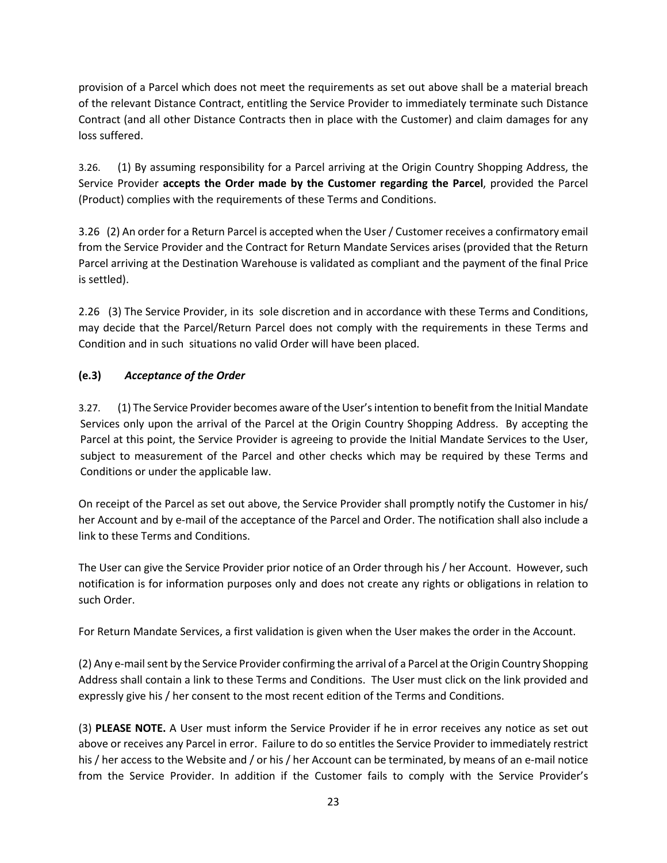provision of a Parcel which does not meet the requirements as set out above shall be a material breach of the relevant Distance Contract, entitling the Service Provider to immediately terminate such Distance Contract (and all other Distance Contracts then in place with the Customer) and claim damages for any loss suffered.

3.26. (1) By assuming responsibility for a Parcel arriving at the Origin Country Shopping Address, the Service Provider **accepts the Order made by the Customer regarding the Parcel**, provided the Parcel (Product) complies with the requirements of these Terms and Conditions.

3.26 (2) An order for a Return Parcel is accepted when the User / Customer receives a confirmatory email from the Service Provider and the Contract for Return Mandate Services arises (provided that the Return Parcel arriving at the Destination Warehouse is validated as compliant and the payment of the final Price is settled).

2.26 (3) The Service Provider, in its sole discretion and in accordance with these Terms and Conditions, may decide that the Parcel/Return Parcel does not comply with the requirements in these Terms and Condition and in such situations no valid Order will have been placed.

# **(e.3)** *Acceptance of the Order*

3.27. (1) The Service Provider becomes aware of the User's intention to benefit from the Initial Mandate Services only upon the arrival of the Parcel at the Origin Country Shopping Address. By accepting the Parcel at this point, the Service Provider is agreeing to provide the Initial Mandate Services to the User, subject to measurement of the Parcel and other checks which may be required by these Terms and Conditions or under the applicable law.

On receipt of the Parcel as set out above, the Service Provider shall promptly notify the Customer in his/ her Account and by e-mail of the acceptance of the Parcel and Order. The notification shall also include a link to these Terms and Conditions.

The User can give the Service Provider prior notice of an Order through his / her Account. However, such notification is for information purposes only and does not create any rights or obligations in relation to such Order.

For Return Mandate Services, a first validation is given when the User makes the order in the Account.

(2) Any e-mail sent by the Service Provider confirming the arrival of a Parcel at the Origin Country Shopping Address shall contain a link to these Terms and Conditions. The User must click on the link provided and expressly give his / her consent to the most recent edition of the Terms and Conditions.

(3) **PLEASE NOTE.** A User must inform the Service Provider if he in error receives any notice as set out above or receives any Parcel in error. Failure to do so entitles the Service Provider to immediately restrict his / her access to the Website and / or his / her Account can be terminated, by means of an e-mail notice from the Service Provider. In addition if the Customer fails to comply with the Service Provider's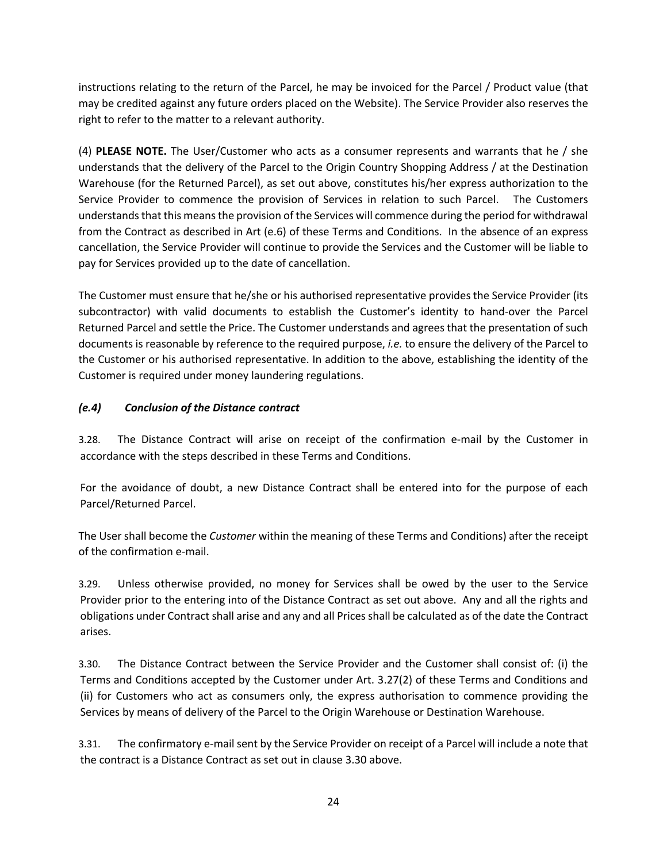instructions relating to the return of the Parcel, he may be invoiced for the Parcel / Product value (that may be credited against any future orders placed on the Website). The Service Provider also reserves the right to refer to the matter to a relevant authority.

(4) **PLEASE NOTE.** The User/Customer who acts as a consumer represents and warrants that he / she understands that the delivery of the Parcel to the Origin Country Shopping Address / at the Destination Warehouse (for the Returned Parcel), as set out above, constitutes his/her express authorization to the Service Provider to commence the provision of Services in relation to such Parcel. The Customers understands that this means the provision of the Services will commence during the period for withdrawal from the Contract as described in Art (e.6) of these Terms and Conditions. In the absence of an express cancellation, the Service Provider will continue to provide the Services and the Customer will be liable to pay for Services provided up to the date of cancellation.

The Customer must ensure that he/she or his authorised representative provides the Service Provider (its subcontractor) with valid documents to establish the Customer's identity to hand-over the Parcel Returned Parcel and settle the Price. The Customer understands and agrees that the presentation of such documents is reasonable by reference to the required purpose, *i.e.* to ensure the delivery of the Parcel to the Customer or his authorised representative. In addition to the above, establishing the identity of the Customer is required under money laundering regulations.

# *(e.4) Conclusion of the Distance contract*

3.28. The Distance Contract will arise on receipt of the confirmation e-mail by the Customer in accordance with the steps described in these Terms and Conditions.

For the avoidance of doubt, a new Distance Contract shall be entered into for the purpose of each Parcel/Returned Parcel.

The User shall become the *Customer* within the meaning of these Terms and Conditions) after the receipt of the confirmation e-mail.

3.29. Unless otherwise provided, no money for Services shall be owed by the user to the Service Provider prior to the entering into of the Distance Contract as set out above. Any and all the rights and obligations under Contract shall arise and any and all Prices shall be calculated as of the date the Contract arises.

3.30. The Distance Contract between the Service Provider and the Customer shall consist of: (i) the Terms and Conditions accepted by the Customer under Art. 3.27(2) of these Terms and Conditions and (ii) for Customers who act as consumers only, the express authorisation to commence providing the Services by means of delivery of the Parcel to the Origin Warehouse or Destination Warehouse.

3.31. The confirmatory e-mail sent by the Service Provider on receipt of a Parcel will include a note that the contract is a Distance Contract as set out in clause 3.30 above.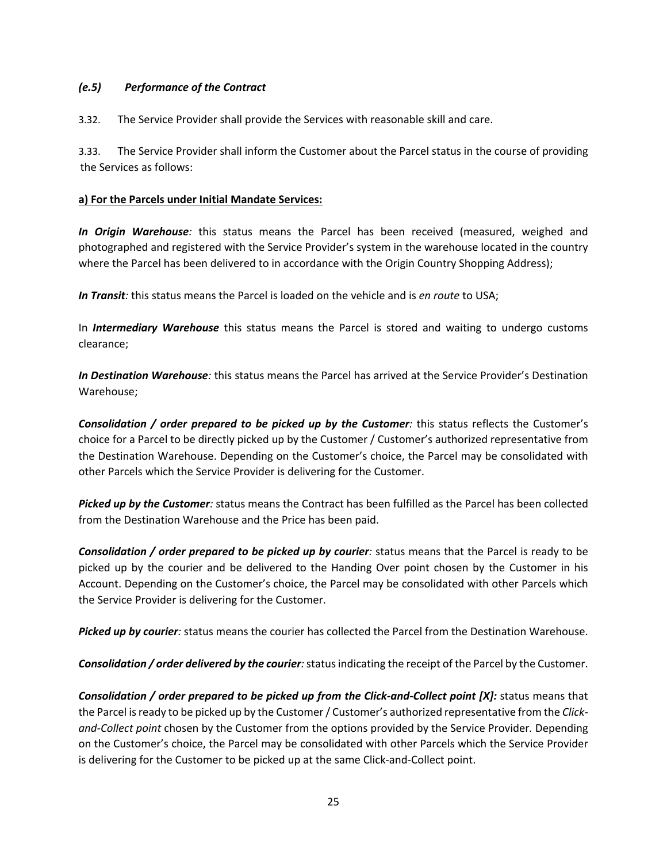### *(e.5) Performance of the Contract*

3.32. The Service Provider shall provide the Services with reasonable skill and care.

3.33. The Service Provider shall inform the Customer about the Parcel status in the course of providing the Services as follows:

#### **a) For the Parcels under Initial Mandate Services:**

*In Origin Warehouse:* this status means the Parcel has been received (measured, weighed and photographed and registered with the Service Provider's system in the warehouse located in the country where the Parcel has been delivered to in accordance with the Origin Country Shopping Address);

*In Transit:* this status means the Parcel is loaded on the vehicle and is *en route* to USA;

In *Intermediary Warehouse* this status means the Parcel is stored and waiting to undergo customs clearance;

*In Destination Warehouse:* this status means the Parcel has arrived at the Service Provider's Destination Warehouse;

*Consolidation / order prepared to be picked up by the Customer:* this status reflects the Customer's choice for a Parcel to be directly picked up by the Customer / Customer's authorized representative from the Destination Warehouse. Depending on the Customer's choice, the Parcel may be consolidated with other Parcels which the Service Provider is delivering for the Customer.

*Picked up by the Customer:* status means the Contract has been fulfilled as the Parcel has been collected from the Destination Warehouse and the Price has been paid.

*Consolidation / order prepared to be picked up by courier:* status means that the Parcel is ready to be picked up by the courier and be delivered to the Handing Over point chosen by the Customer in his Account. Depending on the Customer's choice, the Parcel may be consolidated with other Parcels which the Service Provider is delivering for the Customer.

*Picked up by courier:* status means the courier has collected the Parcel from the Destination Warehouse.

*Consolidation / order delivered by the courier:* status indicating the receipt of the Parcel by the Customer.

*Consolidation / order prepared to be picked up from the Click-and-Collect point [X]:* status means that the Parcel is ready to be picked up by the Customer / Customer's authorized representative from the *Clickand-Collect point* chosen by the Customer from the options provided by the Service Provider*.* Depending on the Customer's choice, the Parcel may be consolidated with other Parcels which the Service Provider is delivering for the Customer to be picked up at the same Click-and-Collect point.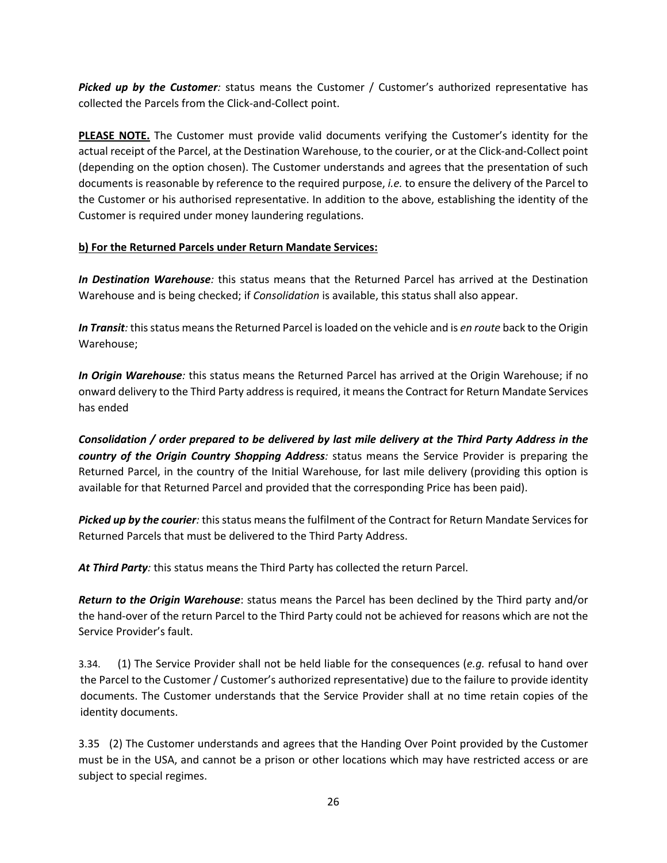*Picked up by the Customer*: status means the Customer / Customer's authorized representative has collected the Parcels from the Click-and-Collect point.

**PLEASE NOTE.** The Customer must provide valid documents verifying the Customer's identity for the actual receipt of the Parcel, at the Destination Warehouse, to the courier, or at the Click-and-Collect point (depending on the option chosen). The Customer understands and agrees that the presentation of such documents is reasonable by reference to the required purpose, *i.e.* to ensure the delivery of the Parcel to the Customer or his authorised representative. In addition to the above, establishing the identity of the Customer is required under money laundering regulations.

### **b) For the Returned Parcels under Return Mandate Services:**

*In Destination Warehouse:* this status means that the Returned Parcel has arrived at the Destination Warehouse and is being checked; if *Consolidation* is available, this status shall also appear.

*In Transit:* this status means the Returned Parcel is loaded on the vehicle and is *en route* back to the Origin Warehouse;

*In Origin Warehouse:* this status means the Returned Parcel has arrived at the Origin Warehouse; if no onward delivery to the Third Party address is required, it means the Contract for Return Mandate Services has ended

*Consolidation / order prepared to be delivered by last mile delivery at the Third Party Address in the country of the Origin Country Shopping Address:* status means the Service Provider is preparing the Returned Parcel, in the country of the Initial Warehouse, for last mile delivery (providing this option is available for that Returned Parcel and provided that the corresponding Price has been paid).

*Picked up by the courier:* this status means the fulfilment of the Contract for Return Mandate Services for Returned Parcels that must be delivered to the Third Party Address.

*At Third Party:* this status means the Third Party has collected the return Parcel.

*Return to the Origin Warehouse*: status means the Parcel has been declined by the Third party and/or the hand-over of the return Parcel to the Third Party could not be achieved for reasons which are not the Service Provider's fault.

3.34. (1) The Service Provider shall not be held liable for the consequences (*e.g.* refusal to hand over the Parcel to the Customer / Customer's authorized representative) due to the failure to provide identity documents. The Customer understands that the Service Provider shall at no time retain copies of the identity documents.

3.35 (2) The Customer understands and agrees that the Handing Over Point provided by the Customer must be in the USA, and cannot be a prison or other locations which may have restricted access or are subject to special regimes.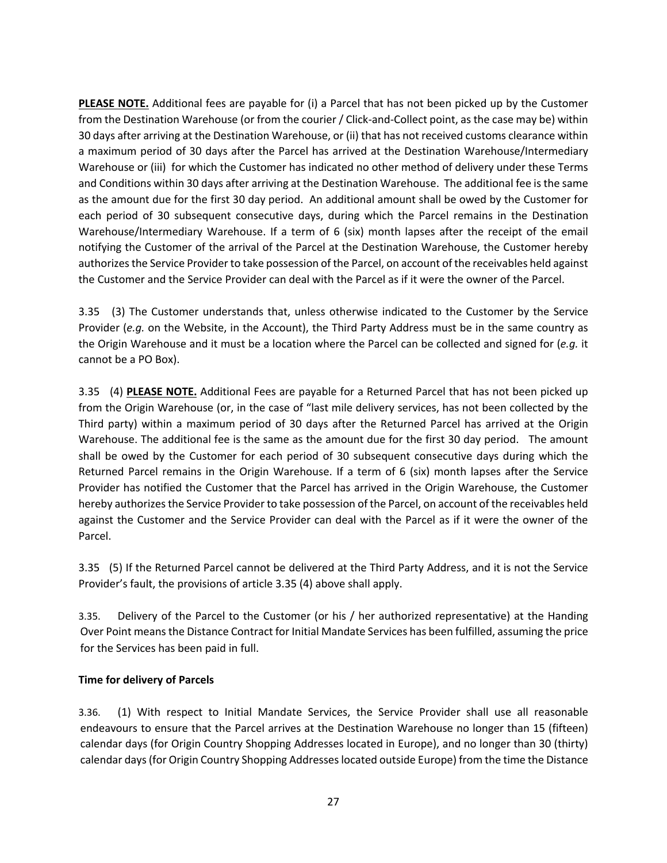**PLEASE NOTE.** Additional fees are payable for (i) a Parcel that has not been picked up by the Customer from the Destination Warehouse (or from the courier / Click-and-Collect point, as the case may be) within 30 days after arriving at the Destination Warehouse, or (ii) that has not received customs clearance within a maximum period of 30 days after the Parcel has arrived at the Destination Warehouse/Intermediary Warehouse or (iii) for which the Customer has indicated no other method of delivery under these Terms and Conditions within 30 days after arriving at the Destination Warehouse. The additional fee is the same as the amount due for the first 30 day period. An additional amount shall be owed by the Customer for each period of 30 subsequent consecutive days, during which the Parcel remains in the Destination Warehouse/Intermediary Warehouse. If a term of 6 (six) month lapses after the receipt of the email notifying the Customer of the arrival of the Parcel at the Destination Warehouse, the Customer hereby authorizes the Service Provider to take possession of the Parcel, on account of the receivables held against the Customer and the Service Provider can deal with the Parcel as if it were the owner of the Parcel.

3.35 (3) The Customer understands that, unless otherwise indicated to the Customer by the Service Provider (*e.g.* on the Website, in the Account), the Third Party Address must be in the same country as the Origin Warehouse and it must be a location where the Parcel can be collected and signed for (*e.g.* it cannot be a PO Box).

3.35 (4) **PLEASE NOTE.** Additional Fees are payable for a Returned Parcel that has not been picked up from the Origin Warehouse (or, in the case of "last mile delivery services, has not been collected by the Third party) within a maximum period of 30 days after the Returned Parcel has arrived at the Origin Warehouse. The additional fee is the same as the amount due for the first 30 day period. The amount shall be owed by the Customer for each period of 30 subsequent consecutive days during which the Returned Parcel remains in the Origin Warehouse. If a term of 6 (six) month lapses after the Service Provider has notified the Customer that the Parcel has arrived in the Origin Warehouse, the Customer hereby authorizes the Service Provider to take possession of the Parcel, on account of the receivables held against the Customer and the Service Provider can deal with the Parcel as if it were the owner of the Parcel.

3.35 (5) If the Returned Parcel cannot be delivered at the Third Party Address, and it is not the Service Provider's fault, the provisions of article 3.35 (4) above shall apply.

3.35. Delivery of the Parcel to the Customer (or his / her authorized representative) at the Handing Over Point means the Distance Contract for Initial Mandate Services has been fulfilled, assuming the price for the Services has been paid in full.

# **Time for delivery of Parcels**

3.36. (1) With respect to Initial Mandate Services, the Service Provider shall use all reasonable endeavours to ensure that the Parcel arrives at the Destination Warehouse no longer than 15 (fifteen) calendar days (for Origin Country Shopping Addresses located in Europe), and no longer than 30 (thirty) calendar days (for Origin Country Shopping Addresses located outside Europe) from the time the Distance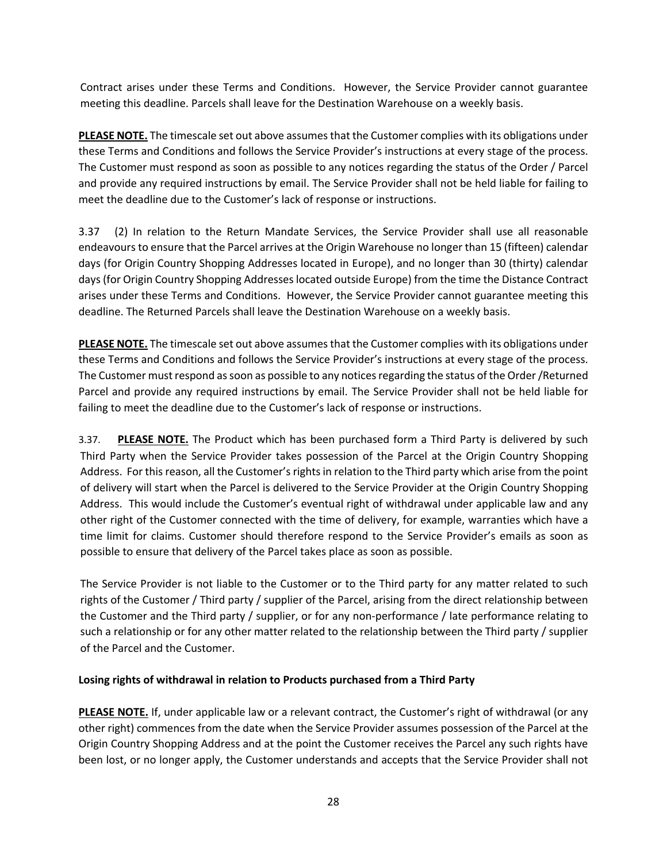Contract arises under these Terms and Conditions. However, the Service Provider cannot guarantee meeting this deadline. Parcels shall leave for the Destination Warehouse on a weekly basis.

**PLEASE NOTE.** The timescale set out above assumes that the Customer complies with its obligations under these Terms and Conditions and follows the Service Provider's instructions at every stage of the process. The Customer must respond as soon as possible to any notices regarding the status of the Order / Parcel and provide any required instructions by email. The Service Provider shall not be held liable for failing to meet the deadline due to the Customer's lack of response or instructions.

3.37 (2) In relation to the Return Mandate Services, the Service Provider shall use all reasonable endeavours to ensure that the Parcel arrives at the Origin Warehouse no longer than 15 (fifteen) calendar days (for Origin Country Shopping Addresses located in Europe), and no longer than 30 (thirty) calendar days (for Origin Country Shopping Addresses located outside Europe) from the time the Distance Contract arises under these Terms and Conditions. However, the Service Provider cannot guarantee meeting this deadline. The Returned Parcels shall leave the Destination Warehouse on a weekly basis.

**PLEASE NOTE.** The timescale set out above assumes that the Customer complies with its obligations under these Terms and Conditions and follows the Service Provider's instructions at every stage of the process. The Customer must respond as soon as possible to any notices regarding the status of the Order /Returned Parcel and provide any required instructions by email. The Service Provider shall not be held liable for failing to meet the deadline due to the Customer's lack of response or instructions.

3.37. **PLEASE NOTE.** The Product which has been purchased form a Third Party is delivered by such Third Party when the Service Provider takes possession of the Parcel at the Origin Country Shopping Address. For this reason, all the Customer's rights in relation to the Third party which arise from the point of delivery will start when the Parcel is delivered to the Service Provider at the Origin Country Shopping Address. This would include the Customer's eventual right of withdrawal under applicable law and any other right of the Customer connected with the time of delivery, for example, warranties which have a time limit for claims. Customer should therefore respond to the Service Provider's emails as soon as possible to ensure that delivery of the Parcel takes place as soon as possible.

The Service Provider is not liable to the Customer or to the Third party for any matter related to such rights of the Customer / Third party / supplier of the Parcel, arising from the direct relationship between the Customer and the Third party / supplier, or for any non-performance / late performance relating to such a relationship or for any other matter related to the relationship between the Third party / supplier of the Parcel and the Customer.

# **Losing rights of withdrawal in relation to Products purchased from a Third Party**

**PLEASE NOTE.** If, under applicable law or a relevant contract, the Customer's right of withdrawal (or any other right) commences from the date when the Service Provider assumes possession of the Parcel at the Origin Country Shopping Address and at the point the Customer receives the Parcel any such rights have been lost, or no longer apply, the Customer understands and accepts that the Service Provider shall not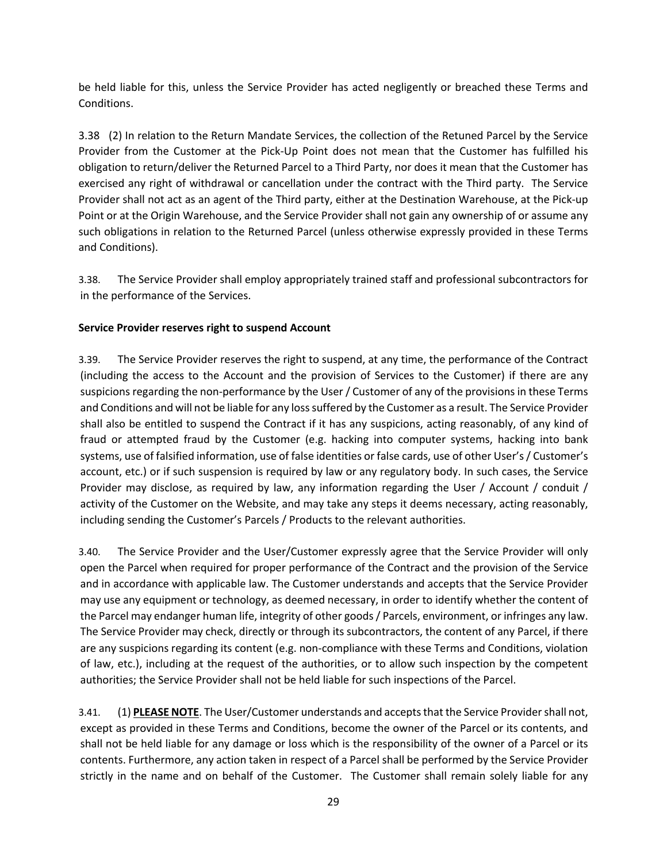be held liable for this, unless the Service Provider has acted negligently or breached these Terms and Conditions.

3.38 (2) In relation to the Return Mandate Services, the collection of the Retuned Parcel by the Service Provider from the Customer at the Pick-Up Point does not mean that the Customer has fulfilled his obligation to return/deliver the Returned Parcel to a Third Party, nor does it mean that the Customer has exercised any right of withdrawal or cancellation under the contract with the Third party. The Service Provider shall not act as an agent of the Third party, either at the Destination Warehouse, at the Pick-up Point or at the Origin Warehouse, and the Service Provider shall not gain any ownership of or assume any such obligations in relation to the Returned Parcel (unless otherwise expressly provided in these Terms and Conditions).

3.38. The Service Provider shall employ appropriately trained staff and professional subcontractors for in the performance of the Services.

#### **Service Provider reserves right to suspend Account**

3.39. The Service Provider reserves the right to suspend, at any time, the performance of the Contract (including the access to the Account and the provision of Services to the Customer) if there are any suspicions regarding the non-performance by the User / Customer of any of the provisions in these Terms and Conditions and will not be liable for any loss suffered by the Customer as a result. The Service Provider shall also be entitled to suspend the Contract if it has any suspicions, acting reasonably, of any kind of fraud or attempted fraud by the Customer (e.g. hacking into computer systems, hacking into bank systems, use of falsified information, use of false identities or false cards, use of other User's / Customer's account, etc.) or if such suspension is required by law or any regulatory body. In such cases, the Service Provider may disclose, as required by law, any information regarding the User / Account / conduit / activity of the Customer on the Website, and may take any steps it deems necessary, acting reasonably, including sending the Customer's Parcels / Products to the relevant authorities.

3.40. The Service Provider and the User/Customer expressly agree that the Service Provider will only open the Parcel when required for proper performance of the Contract and the provision of the Service and in accordance with applicable law. The Customer understands and accepts that the Service Provider may use any equipment or technology, as deemed necessary, in order to identify whether the content of the Parcel may endanger human life, integrity of other goods / Parcels, environment, or infringes any law. The Service Provider may check, directly or through its subcontractors, the content of any Parcel, if there are any suspicions regarding its content (e.g. non-compliance with these Terms and Conditions, violation of law, etc.), including at the request of the authorities, or to allow such inspection by the competent authorities; the Service Provider shall not be held liable for such inspections of the Parcel.

3.41. (1) **PLEASE NOTE**. The User/Customer understands and accepts that the Service Provider shall not, except as provided in these Terms and Conditions, become the owner of the Parcel or its contents, and shall not be held liable for any damage or loss which is the responsibility of the owner of a Parcel or its contents. Furthermore, any action taken in respect of a Parcel shall be performed by the Service Provider strictly in the name and on behalf of the Customer. The Customer shall remain solely liable for any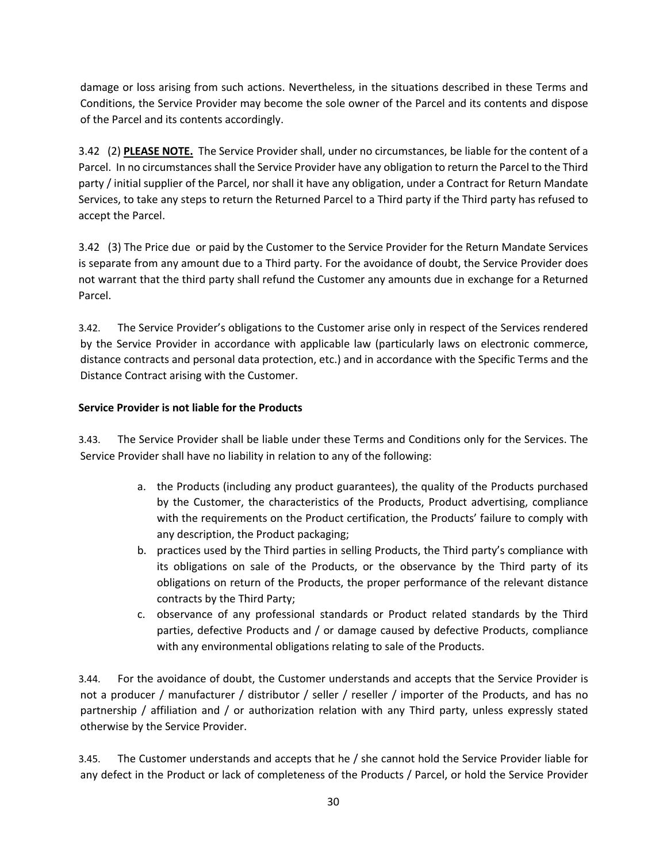damage or loss arising from such actions. Nevertheless, in the situations described in these Terms and Conditions, the Service Provider may become the sole owner of the Parcel and its contents and dispose of the Parcel and its contents accordingly.

3.42 (2) **PLEASE NOTE.** The Service Provider shall, under no circumstances, be liable for the content of a Parcel. In no circumstances shall the Service Provider have any obligation to return the Parcel to the Third party / initial supplier of the Parcel, nor shall it have any obligation, under a Contract for Return Mandate Services, to take any steps to return the Returned Parcel to a Third party if the Third party has refused to accept the Parcel.

3.42 (3) The Price due or paid by the Customer to the Service Provider for the Return Mandate Services is separate from any amount due to a Third party. For the avoidance of doubt, the Service Provider does not warrant that the third party shall refund the Customer any amounts due in exchange for a Returned Parcel.

3.42. The Service Provider's obligations to the Customer arise only in respect of the Services rendered by the Service Provider in accordance with applicable law (particularly laws on electronic commerce, distance contracts and personal data protection, etc.) and in accordance with the Specific Terms and the Distance Contract arising with the Customer.

### **Service Provider is not liable for the Products**

3.43. The Service Provider shall be liable under these Terms and Conditions only for the Services. The Service Provider shall have no liability in relation to any of the following:

- a. the Products (including any product guarantees), the quality of the Products purchased by the Customer, the characteristics of the Products, Product advertising, compliance with the requirements on the Product certification, the Products' failure to comply with any description, the Product packaging;
- b. practices used by the Third parties in selling Products, the Third party's compliance with its obligations on sale of the Products, or the observance by the Third party of its obligations on return of the Products, the proper performance of the relevant distance contracts by the Third Party;
- c. observance of any professional standards or Product related standards by the Third parties, defective Products and / or damage caused by defective Products, compliance with any environmental obligations relating to sale of the Products.

3.44. For the avoidance of doubt, the Customer understands and accepts that the Service Provider is not a producer / manufacturer / distributor / seller / reseller / importer of the Products, and has no partnership / affiliation and / or authorization relation with any Third party, unless expressly stated otherwise by the Service Provider.

3.45. The Customer understands and accepts that he / she cannot hold the Service Provider liable for any defect in the Product or lack of completeness of the Products / Parcel, or hold the Service Provider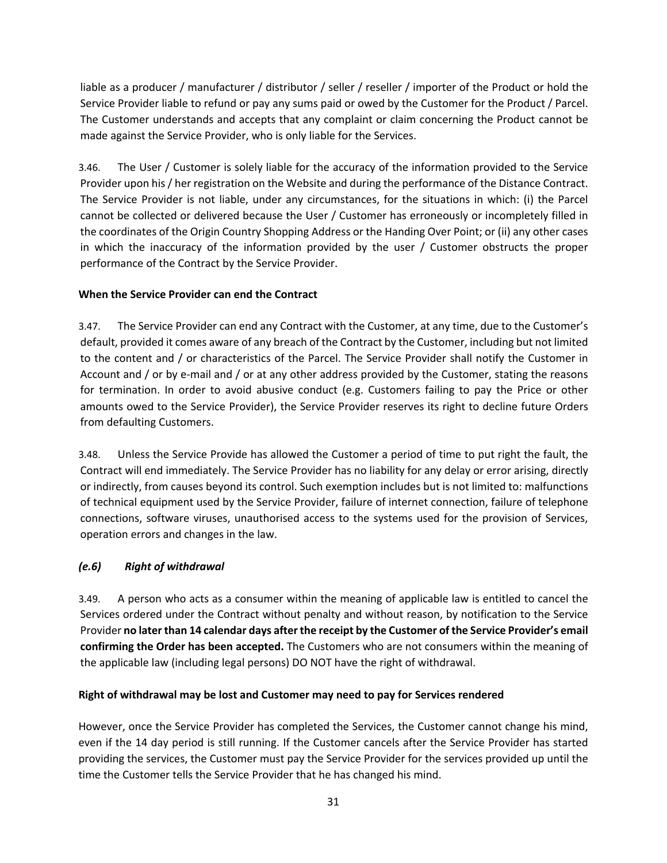liable as a producer / manufacturer / distributor / seller / reseller / importer of the Product or hold the Service Provider liable to refund or pay any sums paid or owed by the Customer for the Product / Parcel. The Customer understands and accepts that any complaint or claim concerning the Product cannot be made against the Service Provider, who is only liable for the Services.

3.46. The User / Customer is solely liable for the accuracy of the information provided to the Service Provider upon his / her registration on the Website and during the performance of the Distance Contract. The Service Provider is not liable, under any circumstances, for the situations in which: (i) the Parcel cannot be collected or delivered because the User / Customer has erroneously or incompletely filled in the coordinates of the Origin Country Shopping Address or the Handing Over Point; or (ii) any other cases in which the inaccuracy of the information provided by the user / Customer obstructs the proper performance of the Contract by the Service Provider.

# **When the Service Provider can end the Contract**

3.47. The Service Provider can end any Contract with the Customer, at any time, due to the Customer's default, provided it comes aware of any breach of the Contract by the Customer, including but not limited to the content and / or characteristics of the Parcel. The Service Provider shall notify the Customer in Account and / or by e-mail and / or at any other address provided by the Customer, stating the reasons for termination. In order to avoid abusive conduct (e.g. Customers failing to pay the Price or other amounts owed to the Service Provider), the Service Provider reserves its right to decline future Orders from defaulting Customers.

3.48. Unless the Service Provide has allowed the Customer a period of time to put right the fault, the Contract will end immediately. The Service Provider has no liability for any delay or error arising, directly or indirectly, from causes beyond its control. Such exemption includes but is not limited to: malfunctions of technical equipment used by the Service Provider, failure of internet connection, failure of telephone connections, software viruses, unauthorised access to the systems used for the provision of Services, operation errors and changes in the law.

# *(e.6) Right of withdrawal*

3.49. A person who acts as a consumer within the meaning of applicable law is entitled to cancel the Services ordered under the Contract without penalty and without reason, by notification to the Service Provider **no later than 14 calendar days after the receipt by the Customer of the Service Provider's email confirming the Order has been accepted.** The Customers who are not consumers within the meaning of the applicable law (including legal persons) DO NOT have the right of withdrawal.

# **Right of withdrawal may be lost and Customer may need to pay for Services rendered**

However, once the Service Provider has completed the Services, the Customer cannot change his mind, even if the 14 day period is still running. If the Customer cancels after the Service Provider has started providing the services, the Customer must pay the Service Provider for the services provided up until the time the Customer tells the Service Provider that he has changed his mind.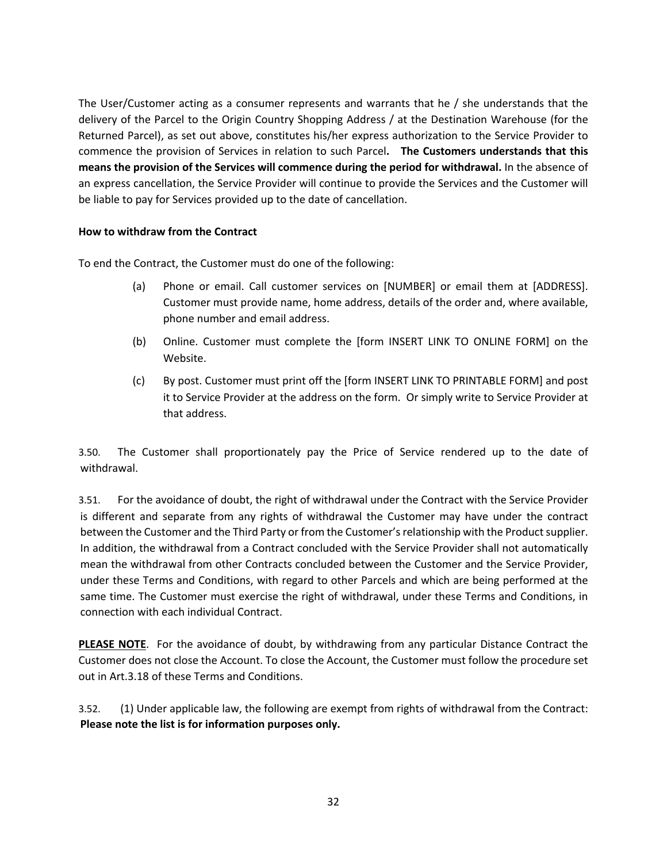The User/Customer acting as a consumer represents and warrants that he / she understands that the delivery of the Parcel to the Origin Country Shopping Address / at the Destination Warehouse (for the Returned Parcel), as set out above, constitutes his/her express authorization to the Service Provider to commence the provision of Services in relation to such Parcel**. The Customers understands that this means the provision of the Services will commence during the period for withdrawal.** In the absence of an express cancellation, the Service Provider will continue to provide the Services and the Customer will be liable to pay for Services provided up to the date of cancellation.

### **How to withdraw from the Contract**

To end the Contract, the Customer must do one of the following:

- (a) Phone or email. Call customer services on [NUMBER] or email them at [ADDRESS]. Customer must provide name, home address, details of the order and, where available, phone number and email address.
- (b) Online. Customer must complete the [form INSERT LINK TO ONLINE FORM] on the Website.
- (c) By post. Customer must print off the [form INSERT LINK TO PRINTABLE FORM] and post it to Service Provider at the address on the form. Or simply write to Service Provider at that address.

3.50. The Customer shall proportionately pay the Price of Service rendered up to the date of withdrawal.

3.51. For the avoidance of doubt, the right of withdrawal under the Contract with the Service Provider is different and separate from any rights of withdrawal the Customer may have under the contract between the Customer and the Third Party or from the Customer's relationship with the Product supplier. In addition, the withdrawal from a Contract concluded with the Service Provider shall not automatically mean the withdrawal from other Contracts concluded between the Customer and the Service Provider, under these Terms and Conditions, with regard to other Parcels and which are being performed at the same time. The Customer must exercise the right of withdrawal, under these Terms and Conditions, in connection with each individual Contract.

**PLEASE NOTE**. For the avoidance of doubt, by withdrawing from any particular Distance Contract the Customer does not close the Account. To close the Account, the Customer must follow the procedure set out in Art.3.18 of these Terms and Conditions.

3.52. (1) Under applicable law, the following are exempt from rights of withdrawal from the Contract: **Please note the list is for information purposes only.**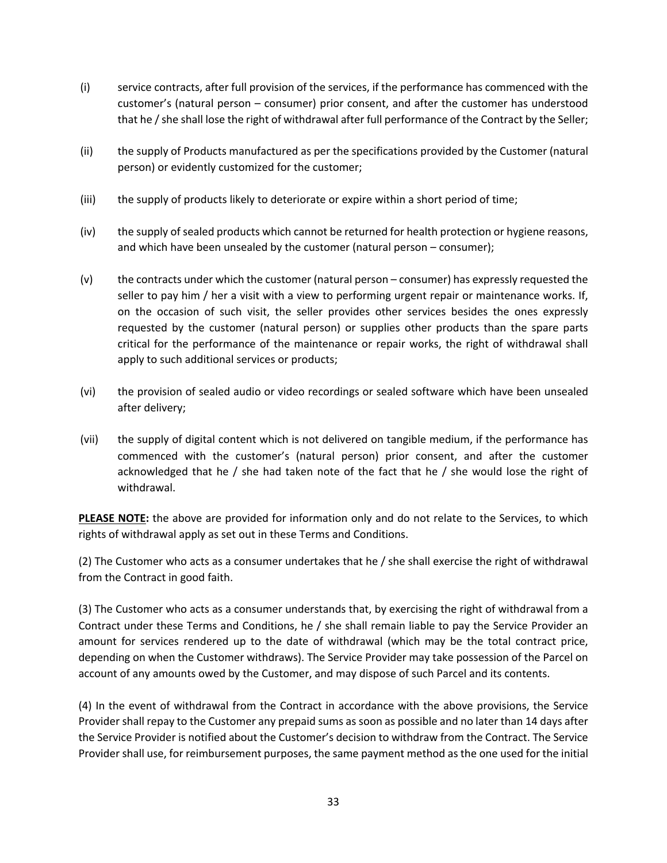- (i) service contracts, after full provision of the services, if the performance has commenced with the customer's (natural person – consumer) prior consent, and after the customer has understood that he / she shall lose the right of withdrawal after full performance of the Contract by the Seller;
- (ii) the supply of Products manufactured as per the specifications provided by the Customer (natural person) or evidently customized for the customer;
- (iii) the supply of products likely to deteriorate or expire within a short period of time;
- (iv) the supply of sealed products which cannot be returned for health protection or hygiene reasons, and which have been unsealed by the customer (natural person – consumer);
- (v) the contracts under which the customer (natural person consumer) has expressly requested the seller to pay him / her a visit with a view to performing urgent repair or maintenance works. If, on the occasion of such visit, the seller provides other services besides the ones expressly requested by the customer (natural person) or supplies other products than the spare parts critical for the performance of the maintenance or repair works, the right of withdrawal shall apply to such additional services or products;
- (vi) the provision of sealed audio or video recordings or sealed software which have been unsealed after delivery;
- (vii) the supply of digital content which is not delivered on tangible medium, if the performance has commenced with the customer's (natural person) prior consent, and after the customer acknowledged that he / she had taken note of the fact that he / she would lose the right of withdrawal.

**PLEASE NOTE:** the above are provided for information only and do not relate to the Services, to which rights of withdrawal apply as set out in these Terms and Conditions.

(2) The Customer who acts as a consumer undertakes that he / she shall exercise the right of withdrawal from the Contract in good faith.

(3) The Customer who acts as a consumer understands that, by exercising the right of withdrawal from a Contract under these Terms and Conditions, he / she shall remain liable to pay the Service Provider an amount for services rendered up to the date of withdrawal (which may be the total contract price, depending on when the Customer withdraws). The Service Provider may take possession of the Parcel on account of any amounts owed by the Customer, and may dispose of such Parcel and its contents.

(4) In the event of withdrawal from the Contract in accordance with the above provisions, the Service Provider shall repay to the Customer any prepaid sums as soon as possible and no later than 14 days after the Service Provider is notified about the Customer's decision to withdraw from the Contract. The Service Provider shall use, for reimbursement purposes, the same payment method as the one used for the initial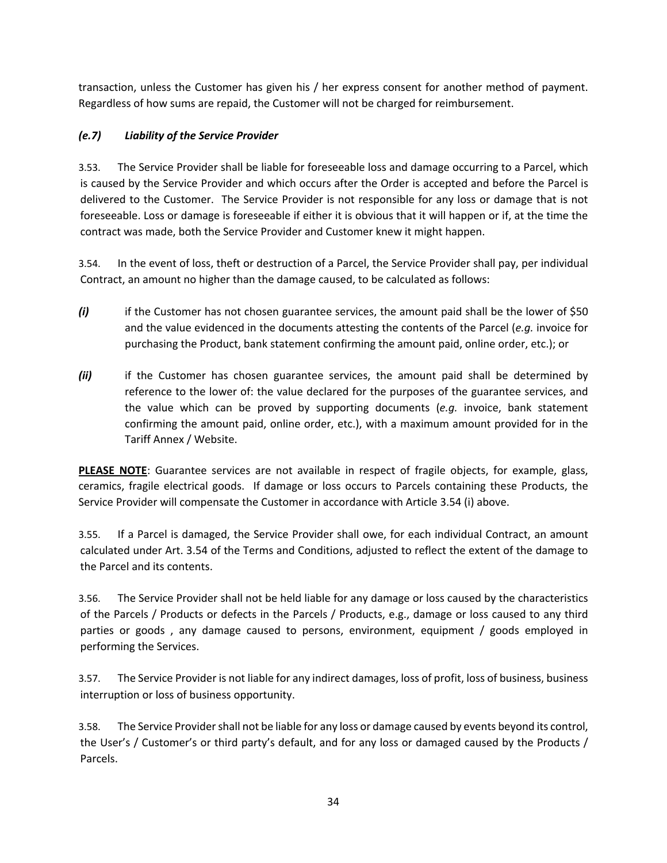transaction, unless the Customer has given his / her express consent for another method of payment. Regardless of how sums are repaid, the Customer will not be charged for reimbursement.

# *(e.7) Liability of the Service Provider*

3.53. The Service Provider shall be liable for foreseeable loss and damage occurring to a Parcel, which is caused by the Service Provider and which occurs after the Order is accepted and before the Parcel is delivered to the Customer. The Service Provider is not responsible for any loss or damage that is not foreseeable. Loss or damage is foreseeable if either it is obvious that it will happen or if, at the time the contract was made, both the Service Provider and Customer knew it might happen.

3.54. In the event of loss, theft or destruction of a Parcel, the Service Provider shall pay, per individual Contract, an amount no higher than the damage caused, to be calculated as follows:

- *(i)* if the Customer has not chosen guarantee services, the amount paid shall be the lower of \$50 and the value evidenced in the documents attesting the contents of the Parcel (*e.g.* invoice for purchasing the Product, bank statement confirming the amount paid, online order, etc.); or
- *(ii)* if the Customer has chosen guarantee services, the amount paid shall be determined by reference to the lower of: the value declared for the purposes of the guarantee services, and the value which can be proved by supporting documents (*e.g.* invoice, bank statement confirming the amount paid, online order, etc.), with a maximum amount provided for in the Tariff Annex / Website.

**PLEASE NOTE**: Guarantee services are not available in respect of fragile objects, for example, glass, ceramics, fragile electrical goods. If damage or loss occurs to Parcels containing these Products, the Service Provider will compensate the Customer in accordance with Article 3.54 (i) above.

3.55. If a Parcel is damaged, the Service Provider shall owe, for each individual Contract, an amount calculated under Art. 3.54 of the Terms and Conditions, adjusted to reflect the extent of the damage to the Parcel and its contents.

3.56. The Service Provider shall not be held liable for any damage or loss caused by the characteristics of the Parcels / Products or defects in the Parcels / Products, e.g., damage or loss caused to any third parties or goods , any damage caused to persons, environment, equipment / goods employed in performing the Services.

3.57. The Service Provider is not liable for any indirect damages, loss of profit, loss of business, business interruption or loss of business opportunity.

3.58. The Service Provider shall not be liable for any loss or damage caused by events beyond its control, the User's / Customer's or third party's default, and for any loss or damaged caused by the Products / Parcels.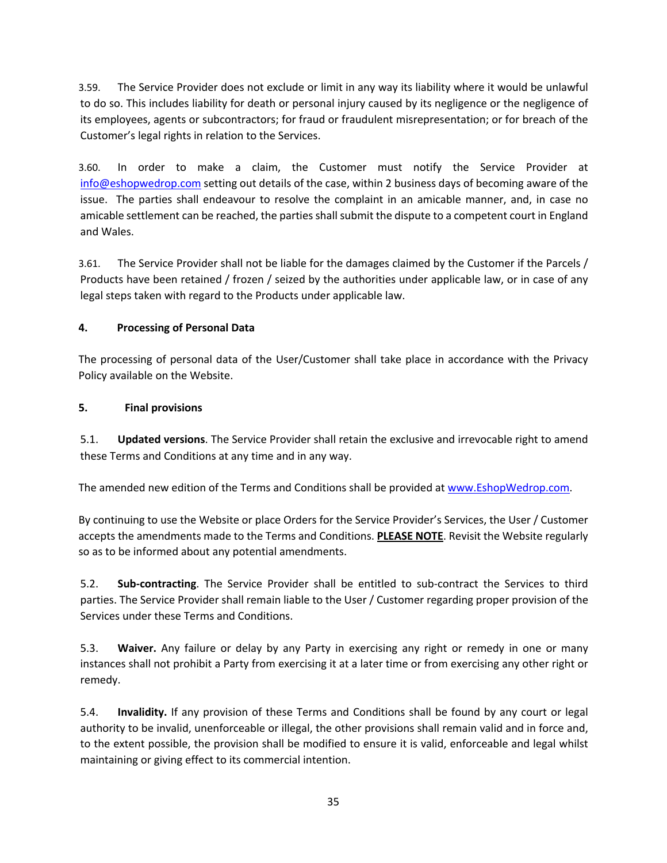3.59. The Service Provider does not exclude or limit in any way its liability where it would be unlawful to do so. This includes liability for death or personal injury caused by its negligence or the negligence of its employees, agents or subcontractors; for fraud or fraudulent misrepresentation; or for breach of the Customer's legal rights in relation to the Services.

3.60. In order to make a claim, the Customer must notify the Service Provider at info@eshopwedrop.com setting out details of the case, within 2 business days of becoming aware of the issue. The parties shall endeavour to resolve the complaint in an amicable manner, and, in case no amicable settlement can be reached, the parties shall submit the dispute to a competent court in England and Wales.

3.61. The Service Provider shall not be liable for the damages claimed by the Customer if the Parcels / Products have been retained / frozen / seized by the authorities under applicable law, or in case of any legal steps taken with regard to the Products under applicable law.

# **4. Processing of Personal Data**

The processing of personal data of the User/Customer shall take place in accordance with the Privacy Policy available on the Website.

# **5. Final provisions**

5.1. **Updated versions**. The Service Provider shall retain the exclusive and irrevocable right to amend these Terms and Conditions at any time and in any way.

The amended new edition of the Terms and Conditions shall be provided at www.EshopWedrop.com.

By continuing to use the Website or place Orders for the Service Provider's Services, the User / Customer accepts the amendments made to the Terms and Conditions. **PLEASE NOTE**. Revisit the Website regularly so as to be informed about any potential amendments.

5.2. **Sub-contracting**. The Service Provider shall be entitled to sub-contract the Services to third parties. The Service Provider shall remain liable to the User / Customer regarding proper provision of the Services under these Terms and Conditions.

5.3. **Waiver.** Any failure or delay by any Party in exercising any right or remedy in one or many instances shall not prohibit a Party from exercising it at a later time or from exercising any other right or remedy.

5.4. **Invalidity.** If any provision of these Terms and Conditions shall be found by any court or legal authority to be invalid, unenforceable or illegal, the other provisions shall remain valid and in force and, to the extent possible, the provision shall be modified to ensure it is valid, enforceable and legal whilst maintaining or giving effect to its commercial intention.